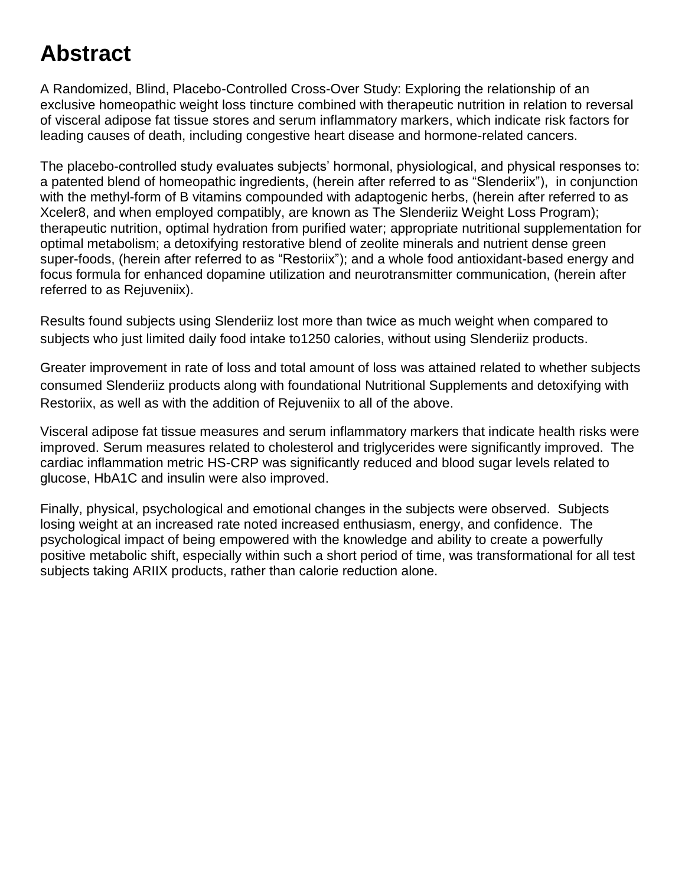# **Abstract**

A Randomized, Blind, Placebo-Controlled Cross-Over Study: Exploring the relationship of an exclusive homeopathic weight loss tincture combined with therapeutic nutrition in relation to reversal of visceral adipose fat tissue stores and serum inflammatory markers, which indicate risk factors for leading causes of death, including congestive heart disease and hormone-related cancers.

The placebo-controlled study evaluates subjects' hormonal, physiological, and physical responses to: a patented blend of homeopathic ingredients, (herein after referred to as "Slenderiix"), in conjunction with the methyl-form of B vitamins compounded with adaptogenic herbs, (herein after referred to as Xceler8, and when employed compatibly, are known as The Slenderiiz Weight Loss Program); therapeutic nutrition, optimal hydration from purified water; appropriate nutritional supplementation for optimal metabolism; a detoxifying restorative blend of zeolite minerals and nutrient dense green super-foods, (herein after referred to as "Restoriix"); and a whole food antioxidant-based energy and focus formula for enhanced dopamine utilization and neurotransmitter communication, (herein after referred to as Rejuveniix).

Results found subjects using Slenderiiz lost more than twice as much weight when compared to subjects who just limited daily food intake to1250 calories, without using Slenderiiz products.

Greater improvement in rate of loss and total amount of loss was attained related to whether subjects consumed Slenderiiz products along with foundational Nutritional Supplements and detoxifying with Restoriix, as well as with the addition of Rejuveniix to all of the above.

Visceral adipose fat tissue measures and serum inflammatory markers that indicate health risks were improved. Serum measures related to cholesterol and triglycerides were significantly improved. The cardiac inflammation metric HS-CRP was significantly reduced and blood sugar levels related to glucose, HbA1C and insulin were also improved.

Finally, physical, psychological and emotional changes in the subjects were observed. Subjects losing weight at an increased rate noted increased enthusiasm, energy, and confidence. The psychological impact of being empowered with the knowledge and ability to create a powerfully positive metabolic shift, especially within such a short period of time, was transformational for all test subjects taking ARIIX products, rather than calorie reduction alone.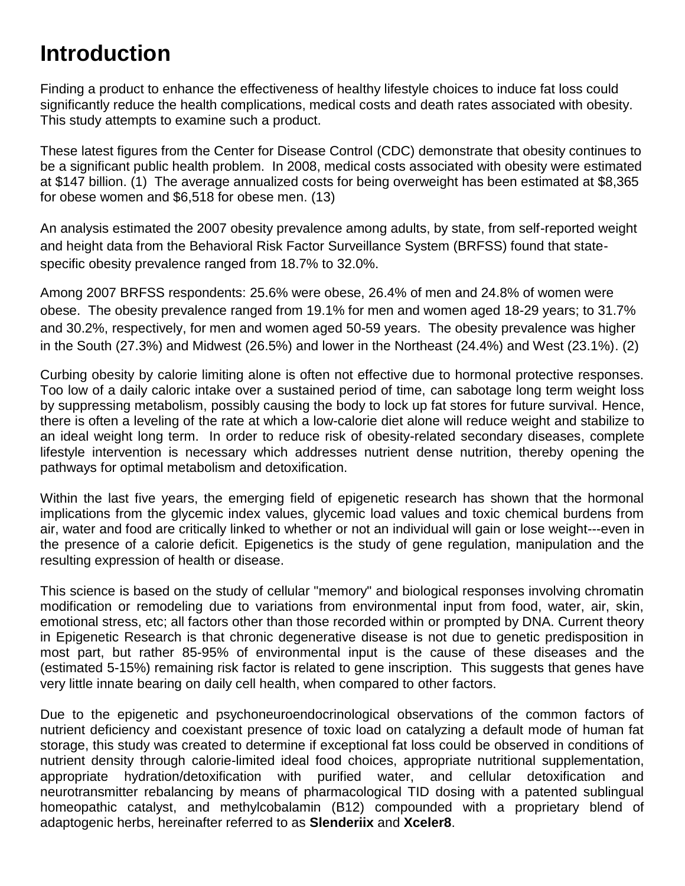## **Introduction**

Finding a product to enhance the effectiveness of healthy lifestyle choices to induce fat loss could significantly reduce the health complications, medical costs and death rates associated with obesity. This study attempts to examine such a product.

These latest figures from the Center for Disease Control (CDC) demonstrate that obesity continues to be a significant public health problem. In 2008, medical costs associated with obesity were estimated at \$147 billion. (1) The average annualized costs for being overweight has been estimated at \$8,365 for obese women and \$6,518 for obese men. (13)

An analysis estimated the 2007 obesity prevalence among adults, by state, from self-reported weight and height data from the Behavioral Risk Factor Surveillance System (BRFSS) found that statespecific obesity prevalence ranged from 18.7% to 32.0%.

Among 2007 BRFSS respondents: 25.6% were obese, 26.4% of men and 24.8% of women were obese. The obesity prevalence ranged from 19.1% for men and women aged 18-29 years; to 31.7% and 30.2%, respectively, for men and women aged 50-59 years. The obesity prevalence was higher in the South (27.3%) and Midwest (26.5%) and lower in the Northeast (24.4%) and West (23.1%). (2)

Curbing obesity by calorie limiting alone is often not effective due to hormonal protective responses. Too low of a daily caloric intake over a sustained period of time, can sabotage long term weight loss by suppressing metabolism, possibly causing the body to lock up fat stores for future survival. Hence, there is often a leveling of the rate at which a low-calorie diet alone will reduce weight and stabilize to an ideal weight long term. In order to reduce risk of obesity-related secondary diseases, complete lifestyle intervention is necessary which addresses nutrient dense nutrition, thereby opening the pathways for optimal metabolism and detoxification.

Within the last five years, the emerging field of epigenetic research has shown that the hormonal implications from the glycemic index values, glycemic load values and toxic chemical burdens from air, water and food are critically linked to whether or not an individual will gain or lose weight---even in the presence of a calorie deficit. Epigenetics is the study of gene regulation, manipulation and the resulting expression of health or disease.

This science is based on the study of cellular "memory" and biological responses involving chromatin modification or remodeling due to variations from environmental input from food, water, air, skin, emotional stress, etc; all factors other than those recorded within or prompted by DNA. Current theory in Epigenetic Research is that chronic degenerative disease is not due to genetic predisposition in most part, but rather 85-95% of environmental input is the cause of these diseases and the (estimated 5-15%) remaining risk factor is related to gene inscription. This suggests that genes have very little innate bearing on daily cell health, when compared to other factors.

Due to the epigenetic and psychoneuroendocrinological observations of the common factors of nutrient deficiency and coexistant presence of toxic load on catalyzing a default mode of human fat storage, this study was created to determine if exceptional fat loss could be observed in conditions of nutrient density through calorie-limited ideal food choices, appropriate nutritional supplementation, appropriate hydration/detoxification with purified water, and cellular detoxification and neurotransmitter rebalancing by means of pharmacological TID dosing with a patented sublingual homeopathic catalyst, and methylcobalamin (B12) compounded with a proprietary blend of adaptogenic herbs, hereinafter referred to as **Slenderiix** and **Xceler8**.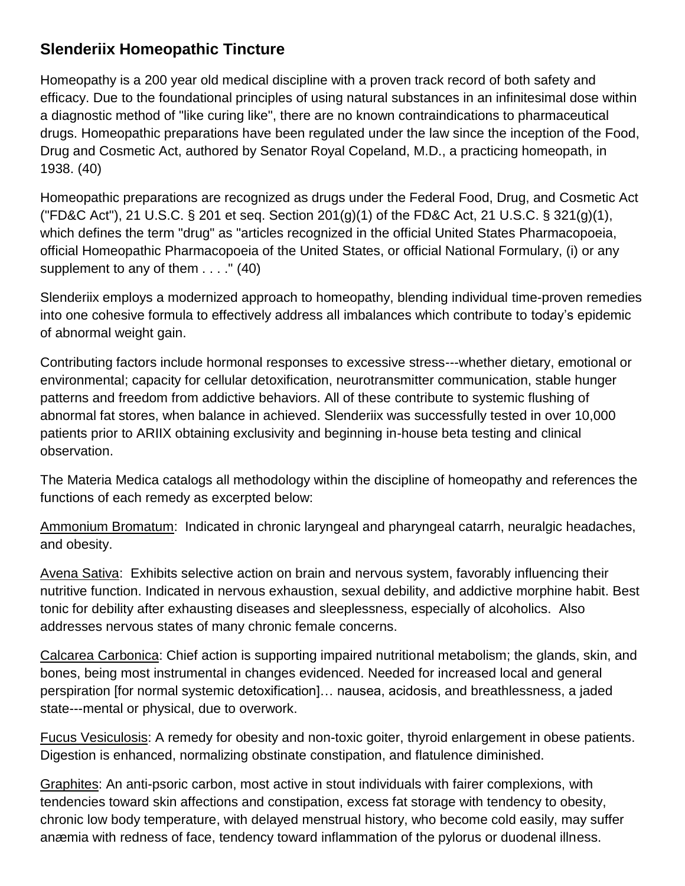## **Slenderiix Homeopathic Tincture**

Homeopathy is a 200 year old medical discipline with a proven track record of both safety and efficacy. Due to the foundational principles of using natural substances in an infinitesimal dose within a diagnostic method of "like curing like", there are no known contraindications to pharmaceutical drugs. Homeopathic preparations have been regulated under the law since the inception of the Food, Drug and Cosmetic Act, authored by Senator Royal Copeland, M.D., a practicing homeopath, in 1938. (40)

Homeopathic preparations are recognized as drugs under the Federal Food, Drug, and Cosmetic Act ("FD&C Act"), 21 U.S.C. § 201 et seq. Section 201(g)(1) of the FD&C Act, 21 U.S.C. § 321(g)(1), which defines the term "drug" as "articles recognized in the official United States Pharmacopoeia, official Homeopathic Pharmacopoeia of the United States, or official National Formulary, (i) or any supplement to any of them . . . ." (40)

Slenderiix employs a modernized approach to homeopathy, blending individual time-proven remedies into one cohesive formula to effectively address all imbalances which contribute to today's epidemic of abnormal weight gain.

Contributing factors include hormonal responses to excessive stress---whether dietary, emotional or environmental; capacity for cellular detoxification, neurotransmitter communication, stable hunger patterns and freedom from addictive behaviors. All of these contribute to systemic flushing of abnormal fat stores, when balance in achieved. Slenderiix was successfully tested in over 10,000 patients prior to ARIIX obtaining exclusivity and beginning in-house beta testing and clinical observation.

The Materia Medica catalogs all methodology within the discipline of homeopathy and references the functions of each remedy as excerpted below:

Ammonium Bromatum: Indicated in chronic laryngeal and pharyngeal catarrh, neuralgic headaches, and obesity.

Avena Sativa: Exhibits selective action on brain and nervous system, favorably influencing their nutritive function. Indicated in nervous exhaustion, sexual debility, and addictive morphine habit. Best tonic for debility after exhausting diseases and sleeplessness, especially of alcoholics. Also addresses nervous states of many chronic female concerns.

Calcarea Carbonica: Chief action is supporting impaired nutritional metabolism; the glands, skin, and bones, being most instrumental in changes evidenced. Needed for increased local and general perspiration [for normal systemic detoxification]… nausea, acidosis, and breathlessness, a jaded state---mental or physical, due to overwork.

Fucus Vesiculosis: A remedy for obesity and non-toxic goiter, thyroid enlargement in obese patients. Digestion is enhanced, normalizing obstinate constipation, and flatulence diminished.

Graphites: An anti-psoric carbon, most active in stout individuals with fairer complexions, with tendencies toward skin affections and constipation, excess fat storage with tendency to obesity, chronic low body temperature, with delayed menstrual history, who become cold easily, may suffer anæmia with redness of face, tendency toward inflammation of the pylorus or duodenal illness.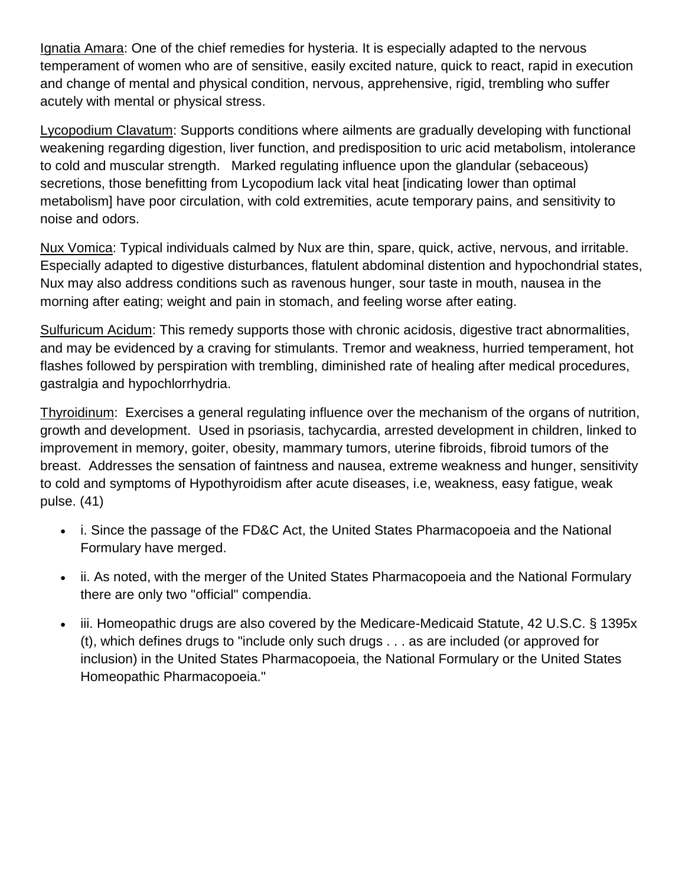Ignatia Amara: One of the chief remedies for hysteria. It is especially adapted to the nervous temperament of women who are of sensitive, easily excited nature, quick to react, rapid in execution and change of mental and physical condition, nervous, apprehensive, rigid, trembling who suffer acutely with mental or physical stress.

Lycopodium Clavatum: Supports conditions where ailments are gradually developing with functional weakening regarding digestion, liver function, and predisposition to uric acid metabolism, intolerance to cold and muscular strength. Marked regulating influence upon the glandular (sebaceous) secretions, those benefitting from Lycopodium lack vital heat [indicating lower than optimal metabolism] have poor circulation, with cold extremities, acute temporary pains, and sensitivity to noise and odors.

Nux Vomica: Typical individuals calmed by Nux are thin, spare, quick, active, nervous, and irritable. Especially adapted to digestive disturbances, flatulent abdominal distention and hypochondrial states, Nux may also address conditions such as ravenous hunger, sour taste in mouth, nausea in the morning after eating; weight and pain in stomach, and feeling worse after eating.

Sulfuricum Acidum: This remedy supports those with chronic acidosis, digestive tract abnormalities, and may be evidenced by a craving for stimulants. Tremor and weakness, hurried temperament, hot flashes followed by perspiration with trembling, diminished rate of healing after medical procedures, gastralgia and hypochlorrhydria.

Thyroidinum: Exercises a general regulating influence over the mechanism of the organs of nutrition, growth and development. Used in psoriasis, tachycardia, arrested development in children, linked to improvement in memory, goiter, obesity, mammary tumors, uterine fibroids, fibroid tumors of the breast. Addresses the sensation of faintness and nausea, extreme weakness and hunger, sensitivity to cold and symptoms of Hypothyroidism after acute diseases, i.e, weakness, easy fatigue, weak pulse. (41)

- i. Since the passage of the FD&C Act, the United States Pharmacopoeia and the National Formulary have merged.
- ii. As noted, with the merger of the United States Pharmacopoeia and the National Formulary there are only two "official" compendia.
- iii. Homeopathic drugs are also covered by the Medicare-Medicaid Statute, 42 U.S.C. § 1395x (t), which defines drugs to "include only such drugs . . . as are included (or approved for inclusion) in the United States Pharmacopoeia, the National Formulary or the United States Homeopathic Pharmacopoeia."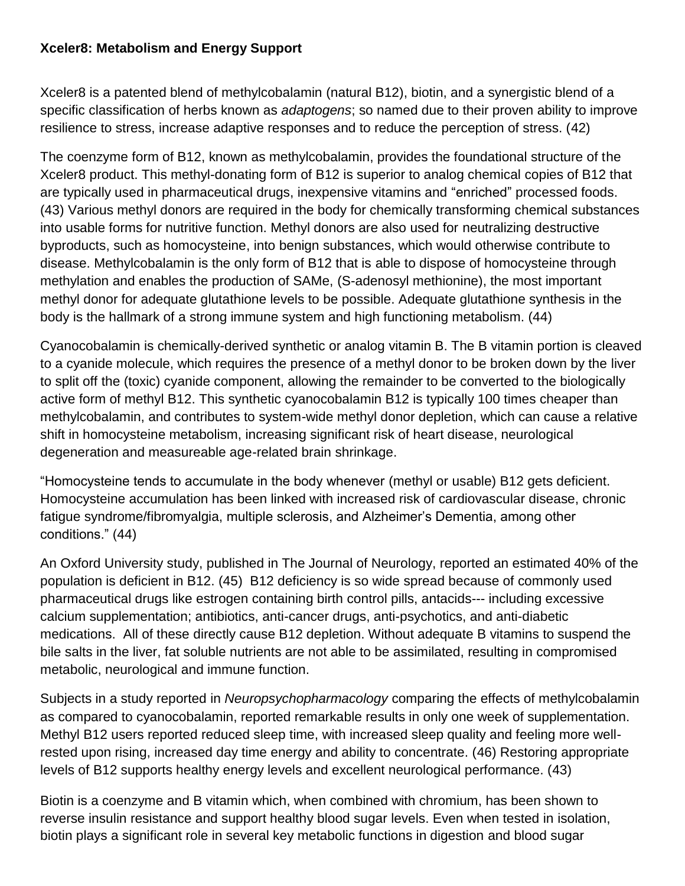#### **Xceler8: Metabolism and Energy Support**

Xceler8 is a patented blend of methylcobalamin (natural B12), biotin, and a synergistic blend of a specific classification of herbs known as *adaptogens*; so named due to their proven ability to improve resilience to stress, increase adaptive responses and to reduce the perception of stress. (42)

The coenzyme form of B12, known as methylcobalamin, provides the foundational structure of the Xceler8 product. This methyl-donating form of B12 is superior to analog chemical copies of B12 that are typically used in pharmaceutical drugs, inexpensive vitamins and "enriched" processed foods. (43) Various methyl donors are required in the body for chemically transforming chemical substances into usable forms for nutritive function. Methyl donors are also used for neutralizing destructive byproducts, such as homocysteine, into benign substances, which would otherwise contribute to disease. Methylcobalamin is the only form of B12 that is able to dispose of homocysteine through methylation and enables the production of SAMe, (S-adenosyl methionine), the most important methyl donor for adequate glutathione levels to be possible. Adequate glutathione synthesis in the body is the hallmark of a strong immune system and high functioning metabolism. (44)

Cyanocobalamin is chemically-derived synthetic or analog vitamin B. The B vitamin portion is cleaved to a cyanide molecule, which requires the presence of a methyl donor to be broken down by the liver to split off the (toxic) cyanide component, allowing the remainder to be converted to the biologically active form of methyl B12. This synthetic cyanocobalamin B12 is typically 100 times cheaper than methylcobalamin, and contributes to system-wide methyl donor depletion, which can cause a relative shift in homocysteine metabolism, increasing significant risk of heart disease, neurological degeneration and measureable age-related brain shrinkage.

"Homocysteine tends to accumulate in the body whenever (methyl or usable) B12 gets deficient. Homocysteine accumulation has been linked with increased risk of cardiovascular disease, chronic fatigue syndrome/fibromyalgia, multiple sclerosis, and Alzheimer's Dementia, among other conditions." (44)

An Oxford University study, published in The Journal of Neurology, reported an estimated 40% of the population is deficient in B12. (45) B12 deficiency is so wide spread because of commonly used pharmaceutical drugs like estrogen containing birth control pills, antacids--- including excessive calcium supplementation; antibiotics, anti-cancer drugs, anti-psychotics, and anti-diabetic medications. All of these directly cause B12 depletion. Without adequate B vitamins to suspend the bile salts in the liver, fat soluble nutrients are not able to be assimilated, resulting in compromised metabolic, neurological and immune function.

Subjects in a study reported in *Neuropsychopharmacology* comparing the effects of methylcobalamin as compared to cyanocobalamin, reported remarkable results in only one week of supplementation. Methyl B12 users reported reduced sleep time, with increased sleep quality and feeling more wellrested upon rising, increased day time energy and ability to concentrate. (46) Restoring appropriate levels of B12 supports healthy energy levels and excellent neurological performance. (43)

Biotin is a coenzyme and B vitamin which, when combined with chromium, has been shown to reverse insulin resistance and support healthy blood sugar levels. Even when tested in isolation, biotin plays a significant role in several key metabolic functions in digestion and blood sugar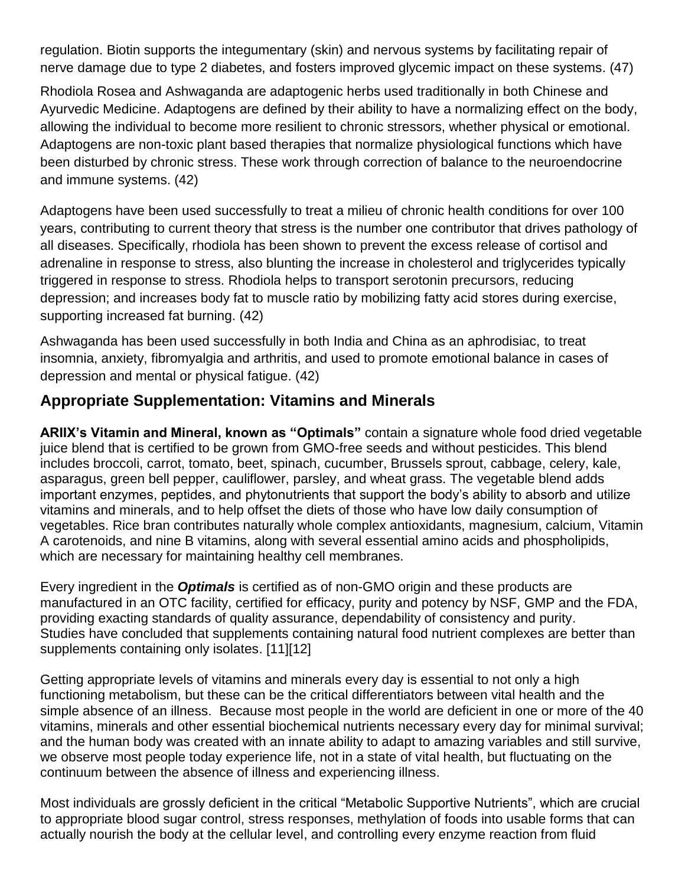regulation. Biotin supports the integumentary (skin) and nervous systems by facilitating repair of nerve damage due to type 2 diabetes, and fosters improved glycemic impact on these systems. (47)

Rhodiola Rosea and Ashwaganda are adaptogenic herbs used traditionally in both Chinese and Ayurvedic Medicine. Adaptogens are defined by their ability to have a normalizing effect on the body, allowing the individual to become more resilient to chronic stressors, whether physical or emotional. Adaptogens are non-toxic plant based therapies that normalize physiological functions which have been disturbed by chronic stress. These work through correction of balance to the neuroendocrine and immune systems. (42)

Adaptogens have been used successfully to treat a milieu of chronic health conditions for over 100 years, contributing to current theory that stress is the number one contributor that drives pathology of all diseases. Specifically, rhodiola has been shown to prevent the excess release of cortisol and adrenaline in response to stress, also blunting the increase in cholesterol and triglycerides typically triggered in response to stress. Rhodiola helps to transport serotonin precursors, reducing depression; and increases body fat to muscle ratio by mobilizing fatty acid stores during exercise, supporting increased fat burning. (42)

Ashwaganda has been used successfully in both India and China as an aphrodisiac, to treat insomnia, anxiety, fibromyalgia and arthritis, and used to promote emotional balance in cases of depression and mental or physical fatigue. (42)

## **Appropriate Supplementation: Vitamins and Minerals**

**ARIIX's Vitamin and Mineral, known as "Optimals"** contain a signature whole food dried vegetable juice blend that is certified to be grown from GMO-free seeds and without pesticides. This blend includes broccoli, carrot, tomato, beet, spinach, cucumber, Brussels sprout, cabbage, celery, kale, asparagus, green bell pepper, cauliflower, parsley, and wheat grass. The vegetable blend adds important enzymes, peptides, and phytonutrients that support the body's ability to absorb and utilize vitamins and minerals, and to help offset the diets of those who have low daily consumption of vegetables. Rice bran contributes naturally whole complex antioxidants, magnesium, calcium, Vitamin A carotenoids, and nine B vitamins, along with several essential amino acids and phospholipids, which are necessary for maintaining healthy cell membranes.

Every ingredient in the *Optimals* is certified as of non-GMO origin and these products are manufactured in an OTC facility, certified for efficacy, purity and potency by NSF, GMP and the FDA, providing exacting standards of quality assurance, dependability of consistency and purity. Studies have concluded that supplements containing natural food nutrient complexes are better than supplements containing only isolates. [11][12]

Getting appropriate levels of vitamins and minerals every day is essential to not only a high functioning metabolism, but these can be the critical differentiators between vital health and the simple absence of an illness. Because most people in the world are deficient in one or more of the 40 vitamins, minerals and other essential biochemical nutrients necessary every day for minimal survival; and the human body was created with an innate ability to adapt to amazing variables and still survive, we observe most people today experience life, not in a state of vital health, but fluctuating on the continuum between the absence of illness and experiencing illness.

Most individuals are grossly deficient in the critical "Metabolic Supportive Nutrients", which are crucial to appropriate blood sugar control, stress responses, methylation of foods into usable forms that can actually nourish the body at the cellular level, and controlling every enzyme reaction from fluid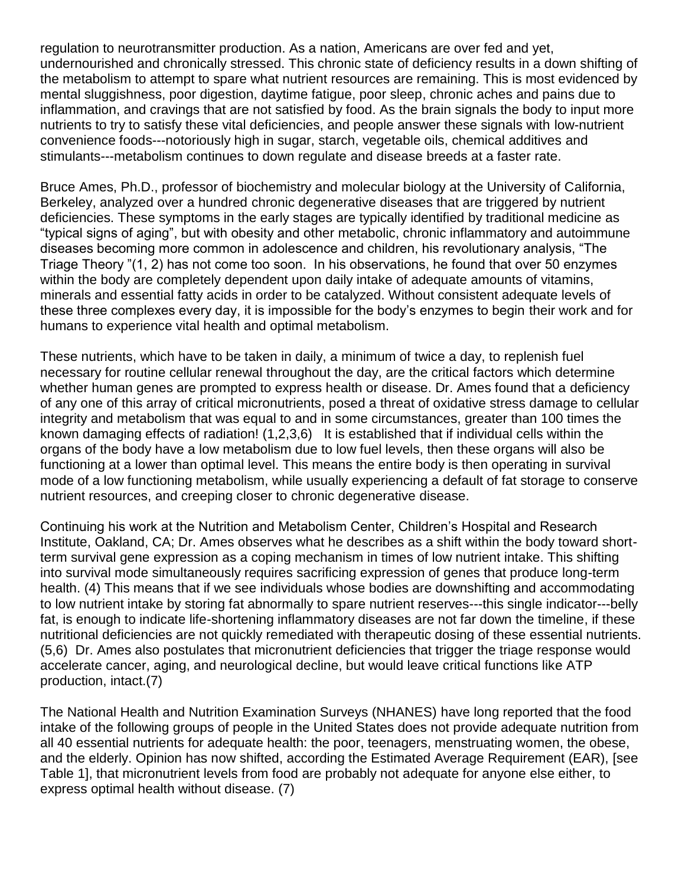regulation to neurotransmitter production. As a nation, Americans are over fed and yet, undernourished and chronically stressed. This chronic state of deficiency results in a down shifting of the metabolism to attempt to spare what nutrient resources are remaining. This is most evidenced by mental sluggishness, poor digestion, daytime fatigue, poor sleep, chronic aches and pains due to inflammation, and cravings that are not satisfied by food. As the brain signals the body to input more nutrients to try to satisfy these vital deficiencies, and people answer these signals with low-nutrient convenience foods---notoriously high in sugar, starch, vegetable oils, chemical additives and stimulants---metabolism continues to down regulate and disease breeds at a faster rate.

Bruce Ames, Ph.D., professor of biochemistry and molecular biology at the University of California, Berkeley, analyzed over a hundred chronic degenerative diseases that are triggered by nutrient deficiencies. These symptoms in the early stages are typically identified by traditional medicine as "typical signs of aging", but with obesity and other metabolic, chronic inflammatory and autoimmune diseases becoming more common in adolescence and children, his revolutionary analysis, "The Triage Theory "(1, 2) has not come too soon. In his observations, he found that over 50 enzymes within the body are completely dependent upon daily intake of adequate amounts of vitamins, minerals and essential fatty acids in order to be catalyzed. Without consistent adequate levels of these three complexes every day, it is impossible for the body's enzymes to begin their work and for humans to experience vital health and optimal metabolism.

These nutrients, which have to be taken in daily, a minimum of twice a day, to replenish fuel necessary for routine cellular renewal throughout the day, are the critical factors which determine whether human genes are prompted to express health or disease. Dr. Ames found that a deficiency of any one of this array of critical micronutrients, posed a threat of oxidative stress damage to cellular integrity and metabolism that was equal to and in some circumstances, greater than 100 times the known damaging effects of radiation! (1,2,3,6) It is established that if individual cells within the organs of the body have a low metabolism due to low fuel levels, then these organs will also be functioning at a lower than optimal level. This means the entire body is then operating in survival mode of a low functioning metabolism, while usually experiencing a default of fat storage to conserve nutrient resources, and creeping closer to chronic degenerative disease.

Continuing his work at the Nutrition and Metabolism Center, Children's Hospital and Research Institute, Oakland, CA; Dr. Ames observes what he describes as a shift within the body toward shortterm survival gene expression as a coping mechanism in times of low nutrient intake. This shifting into survival mode simultaneously requires sacrificing expression of genes that produce long-term health. (4) This means that if we see individuals whose bodies are downshifting and accommodating to low nutrient intake by storing fat abnormally to spare nutrient reserves---this single indicator---belly fat, is enough to indicate life-shortening inflammatory diseases are not far down the timeline, if these nutritional deficiencies are not quickly remediated with therapeutic dosing of these essential nutrients. (5,6) Dr. Ames also postulates that micronutrient deficiencies that trigger the triage response would accelerate cancer, aging, and neurological decline, but would leave critical functions like ATP production, intact.(7)

The National Health and Nutrition Examination Surveys (NHANES) have long reported that the food intake of the following groups of people in the United States does not provide adequate nutrition from all 40 essential nutrients for adequate health: the poor, teenagers, menstruating women, the obese, and the elderly. Opinion has now shifted, according the Estimated Average Requirement (EAR), [see Table 1], that micronutrient levels from food are probably not adequate for anyone else either, to express optimal health without disease. (7)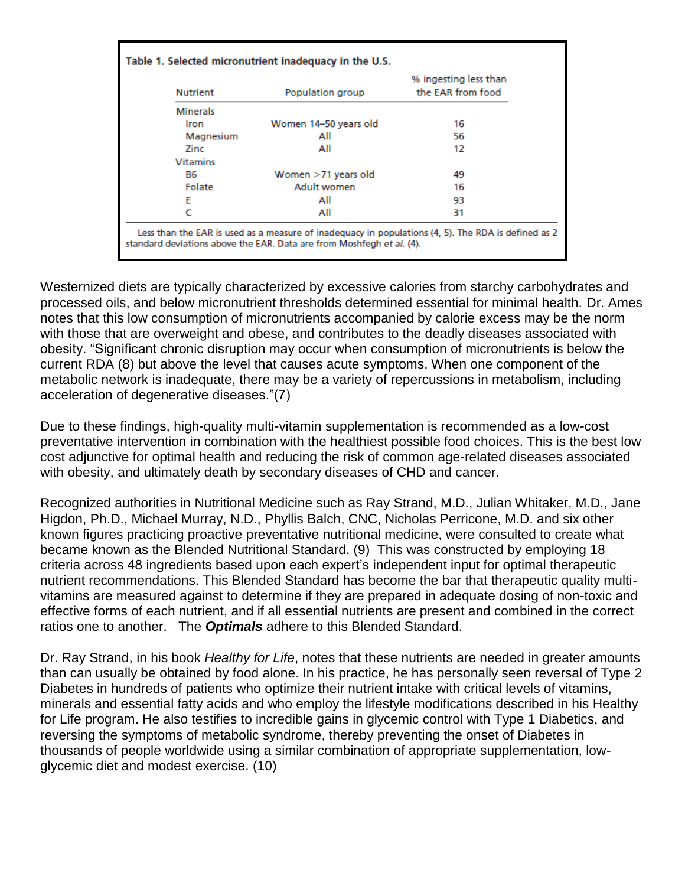| <b>Nutrient</b> | Population group      | % ingesting less than<br>the EAR from food |
|-----------------|-----------------------|--------------------------------------------|
| <b>Minerals</b> |                       |                                            |
| Iron            | Women 14-50 years old | 16                                         |
| Magnesium       | All                   | 56                                         |
| Zinc            | All                   | 12                                         |
| <b>Vitamins</b> |                       |                                            |
| <b>B6</b>       | Women >71 years old   | 49                                         |
| Folate          | Adult women           | 16                                         |
| F               | All                   | 93                                         |
|                 | All                   | 31                                         |

Westernized diets are typically characterized by excessive calories from starchy carbohydrates and processed oils, and below micronutrient thresholds determined essential for minimal health. Dr. Ames notes that this low consumption of micronutrients accompanied by calorie excess may be the norm with those that are overweight and obese, and contributes to the deadly diseases associated with obesity. "Significant chronic disruption may occur when consumption of micronutrients is below the current RDA (8) but above the level that causes acute symptoms. When one component of the metabolic network is inadequate, there may be a variety of repercussions in metabolism, including acceleration of degenerative diseases."(7)

Due to these findings, high-quality multi-vitamin supplementation is recommended as a low-cost preventative intervention in combination with the healthiest possible food choices. This is the best low cost adjunctive for optimal health and reducing the risk of common age-related diseases associated with obesity, and ultimately death by secondary diseases of CHD and cancer.

Recognized authorities in Nutritional Medicine such as Ray Strand, M.D., Julian Whitaker, M.D., Jane Higdon, Ph.D., Michael Murray, N.D., Phyllis Balch, CNC, Nicholas Perricone, M.D. and six other known figures practicing proactive preventative nutritional medicine, were consulted to create what became known as the Blended Nutritional Standard. (9) This was constructed by employing 18 criteria across 48 ingredients based upon each expert's independent input for optimal therapeutic nutrient recommendations. This Blended Standard has become the bar that therapeutic quality multivitamins are measured against to determine if they are prepared in adequate dosing of non-toxic and effective forms of each nutrient, and if all essential nutrients are present and combined in the correct ratios one to another. The *Optimals* adhere to this Blended Standard.

Dr. Ray Strand, in his book *Healthy for Life*, notes that these nutrients are needed in greater amounts than can usually be obtained by food alone. In his practice, he has personally seen reversal of Type 2 Diabetes in hundreds of patients who optimize their nutrient intake with critical levels of vitamins, minerals and essential fatty acids and who employ the lifestyle modifications described in his Healthy for Life program. He also testifies to incredible gains in glycemic control with Type 1 Diabetics, and reversing the symptoms of metabolic syndrome, thereby preventing the onset of Diabetes in thousands of people worldwide using a similar combination of appropriate supplementation, lowglycemic diet and modest exercise. (10)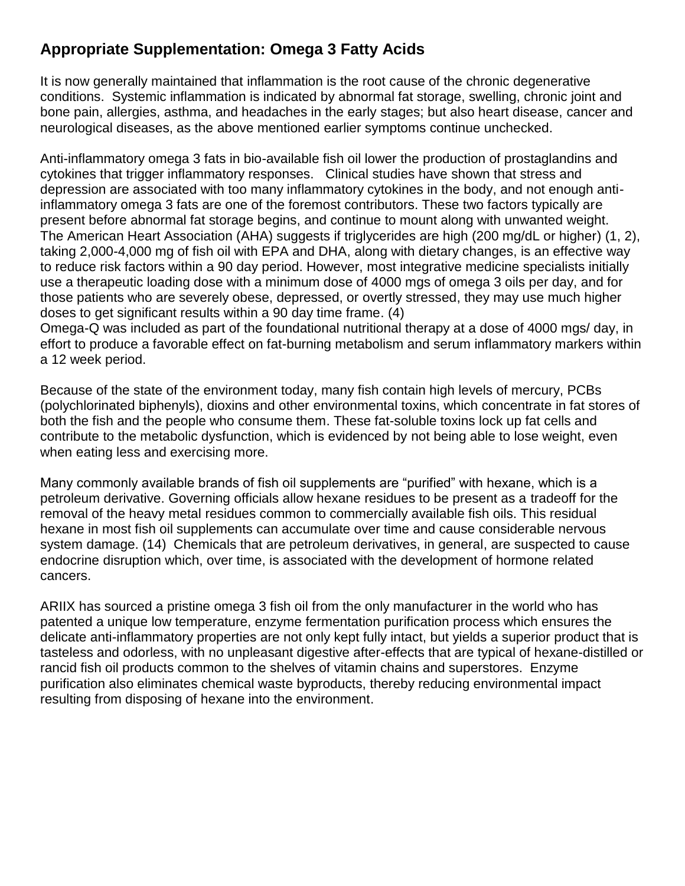## **Appropriate Supplementation: Omega 3 Fatty Acids**

It is now generally maintained that inflammation is the root cause of the chronic degenerative conditions. Systemic inflammation is indicated by abnormal fat storage, swelling, chronic joint and bone pain, allergies, asthma, and headaches in the early stages; but also heart disease, cancer and neurological diseases, as the above mentioned earlier symptoms continue unchecked.

Anti-inflammatory omega 3 fats in bio-available fish oil lower the production of prostaglandins and cytokines that trigger inflammatory responses. Clinical studies have shown that stress and depression are associated with too many inflammatory cytokines in the body, and not enough antiinflammatory omega 3 fats are one of the foremost contributors. These two factors typically are present before abnormal fat storage begins, and continue to mount along with unwanted weight. The American Heart Association (AHA) suggests if triglycerides are high (200 mg/dL or higher) (1, 2), taking 2,000-4,000 mg of fish oil with EPA and DHA, along with dietary changes, is an effective way to reduce risk factors within a 90 day period. However, most integrative medicine specialists initially use a therapeutic loading dose with a minimum dose of 4000 mgs of omega 3 oils per day, and for those patients who are severely obese, depressed, or overtly stressed, they may use much higher doses to get significant results within a 90 day time frame. (4)

Omega-Q was included as part of the foundational nutritional therapy at a dose of 4000 mgs/ day, in effort to produce a favorable effect on fat-burning metabolism and serum inflammatory markers within a 12 week period.

Because of the state of the environment today, many fish contain high levels of mercury, PCBs (polychlorinated biphenyls), dioxins and other environmental toxins, which concentrate in fat stores of both the fish and the people who consume them. These fat-soluble toxins lock up fat cells and contribute to the metabolic dysfunction, which is evidenced by not being able to lose weight, even when eating less and exercising more.

Many commonly available brands of fish oil supplements are "purified" with hexane, which is a petroleum derivative. Governing officials allow hexane residues to be present as a tradeoff for the removal of the heavy metal residues common to commercially available fish oils. This residual hexane in most fish oil supplements can accumulate over time and cause considerable nervous system damage. (14) Chemicals that are petroleum derivatives, in general, are suspected to cause endocrine disruption which, over time, is associated with the development of hormone related cancers.

ARIIX has sourced a pristine omega 3 fish oil from the only manufacturer in the world who has patented a unique low temperature, enzyme fermentation purification process which ensures the delicate anti-inflammatory properties are not only kept fully intact, but yields a superior product that is tasteless and odorless, with no unpleasant digestive after-effects that are typical of hexane-distilled or rancid fish oil products common to the shelves of vitamin chains and superstores. Enzyme purification also eliminates chemical waste byproducts, thereby reducing environmental impact resulting from disposing of hexane into the environment.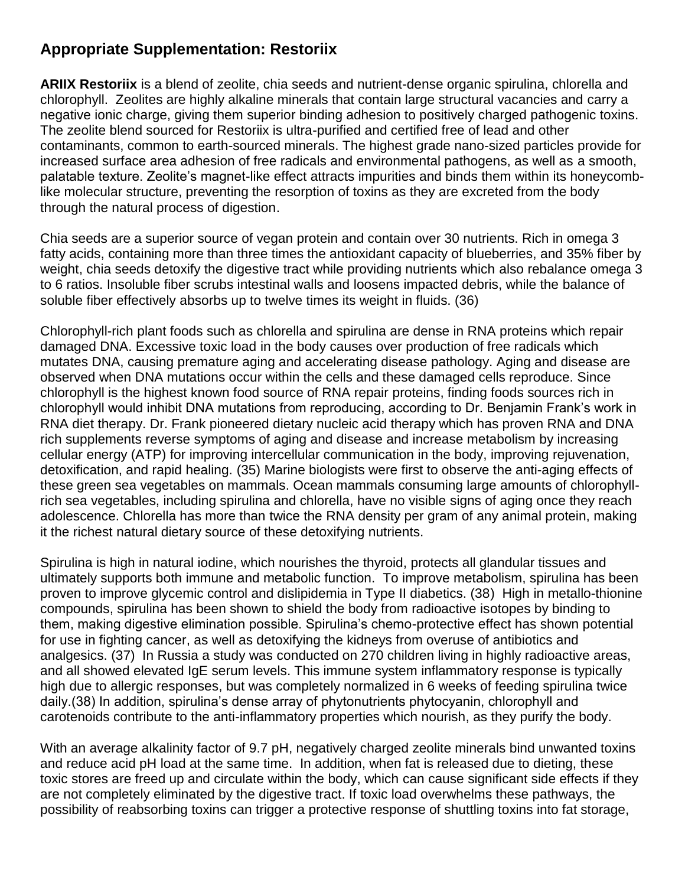### **Appropriate Supplementation: Restoriix**

**ARIIX Restoriix** is a blend of zeolite, chia seeds and nutrient-dense organic spirulina, chlorella and chlorophyll. Zeolites are highly alkaline minerals that contain large structural vacancies and carry a negative ionic charge, giving them superior binding adhesion to positively charged pathogenic toxins. The zeolite blend sourced for Restoriix is ultra-purified and certified free of lead and other contaminants, common to earth-sourced minerals. The highest grade nano-sized particles provide for increased surface area adhesion of free radicals and environmental pathogens, as well as a smooth, palatable texture. Zeolite's magnet-like effect attracts impurities and binds them within its honeycomblike molecular structure, preventing the resorption of toxins as they are excreted from the body through the natural process of digestion.

Chia seeds are a superior source of vegan protein and contain over 30 nutrients. Rich in omega 3 fatty acids, containing more than three times the antioxidant capacity of blueberries, and 35% fiber by weight, chia seeds detoxify the digestive tract while providing nutrients which also rebalance omega 3 to 6 ratios. Insoluble fiber scrubs intestinal walls and loosens impacted debris, while the balance of soluble fiber effectively absorbs up to twelve times its weight in fluids. (36)

Chlorophyll-rich plant foods such as chlorella and spirulina are dense in RNA proteins which repair damaged DNA. Excessive toxic load in the body causes over production of free radicals which mutates DNA, causing premature aging and accelerating disease pathology. Aging and disease are observed when DNA mutations occur within the cells and these damaged cells reproduce. Since chlorophyll is the highest known food source of RNA repair proteins, finding foods sources rich in chlorophyll would inhibit DNA mutations from reproducing, according to Dr. Benjamin Frank's work in RNA diet therapy. Dr. Frank pioneered dietary nucleic acid therapy which has proven RNA and DNA rich supplements reverse symptoms of aging and disease and increase metabolism by increasing cellular energy (ATP) for improving intercellular communication in the body, improving rejuvenation, detoxification, and rapid healing. (35) Marine biologists were first to observe the anti-aging effects of these green sea vegetables on mammals. Ocean mammals consuming large amounts of chlorophyllrich sea vegetables, including spirulina and chlorella, have no visible signs of aging once they reach adolescence. Chlorella has more than twice the RNA density per gram of any animal protein, making it the richest natural dietary source of these detoxifying nutrients.

Spirulina is high in natural iodine, which nourishes the thyroid, protects all glandular tissues and ultimately supports both immune and metabolic function. To improve metabolism, spirulina has been proven to improve glycemic control and dislipidemia in Type II diabetics. (38) High in metallo-thionine compounds, spirulina has been shown to shield the body from radioactive isotopes by binding to them, making digestive elimination possible. Spirulina's chemo-protective effect has shown potential for use in fighting cancer, as well as detoxifying the kidneys from overuse of antibiotics and analgesics. (37) In Russia a study was conducted on 270 children living in highly radioactive areas, and all showed elevated IgE serum levels. This immune system inflammatory response is typically high due to allergic responses, but was completely normalized in 6 weeks of feeding spirulina twice daily.(38) In addition, spirulina's dense array of phytonutrients phytocyanin, chlorophyll and carotenoids contribute to the anti-inflammatory properties which nourish, as they purify the body.

With an average alkalinity factor of 9.7 pH, negatively charged zeolite minerals bind unwanted toxins and reduce acid pH load at the same time. In addition, when fat is released due to dieting, these toxic stores are freed up and circulate within the body, which can cause significant side effects if they are not completely eliminated by the digestive tract. If toxic load overwhelms these pathways, the possibility of reabsorbing toxins can trigger a protective response of shuttling toxins into fat storage,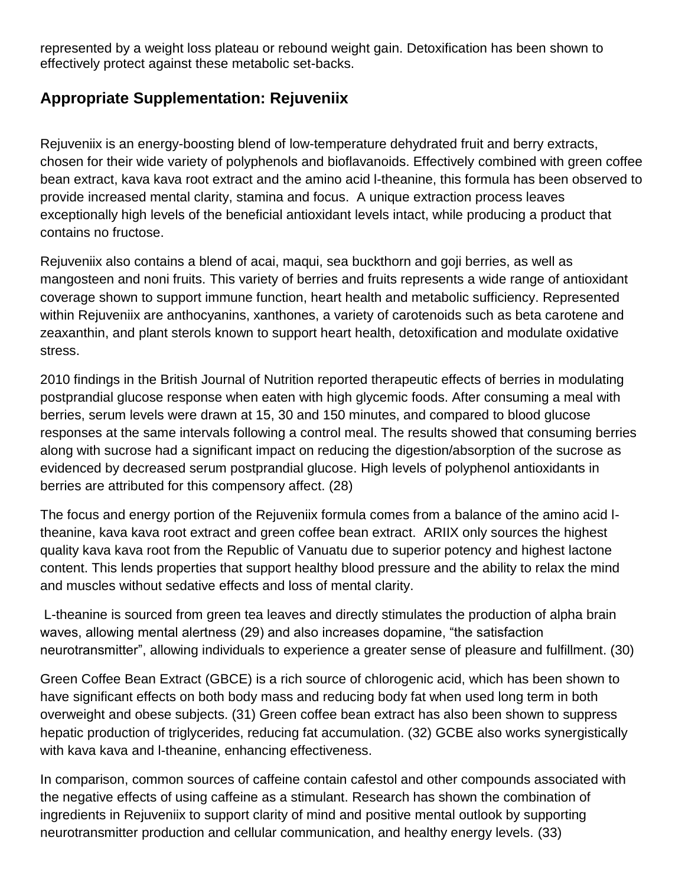represented by a weight loss plateau or rebound weight gain. Detoxification has been shown to effectively protect against these metabolic set-backs.

### **Appropriate Supplementation: Rejuveniix**

Rejuveniix is an energy-boosting blend of low-temperature dehydrated fruit and berry extracts, chosen for their wide variety of polyphenols and bioflavanoids. Effectively combined with green coffee bean extract, kava kava root extract and the amino acid l-theanine, this formula has been observed to provide increased mental clarity, stamina and focus. A unique extraction process leaves exceptionally high levels of the beneficial antioxidant levels intact, while producing a product that contains no fructose.

Rejuveniix also contains a blend of acai, maqui, sea buckthorn and goji berries, as well as mangosteen and noni fruits. This variety of berries and fruits represents a wide range of antioxidant coverage shown to support immune function, heart health and metabolic sufficiency. Represented within Rejuveniix are anthocyanins, xanthones, a variety of carotenoids such as beta carotene and zeaxanthin, and plant sterols known to support heart health, detoxification and modulate oxidative stress.

2010 findings in the British Journal of Nutrition reported therapeutic effects of berries in modulating postprandial glucose response when eaten with high glycemic foods. After consuming a meal with berries, serum levels were drawn at 15, 30 and 150 minutes, and compared to blood glucose responses at the same intervals following a control meal. The results showed that consuming berries along with sucrose had a significant impact on reducing the digestion/absorption of the sucrose as evidenced by decreased serum postprandial glucose. High levels of polyphenol antioxidants in berries are attributed for this compensory affect. (28)

The focus and energy portion of the Rejuveniix formula comes from a balance of the amino acid ltheanine, kava kava root extract and green coffee bean extract. ARIIX only sources the highest quality kava kava root from the Republic of Vanuatu due to superior potency and highest lactone content. This lends properties that support healthy blood pressure and the ability to relax the mind and muscles without sedative effects and loss of mental clarity.

L-theanine is sourced from green tea leaves and directly stimulates the production of alpha brain waves, allowing mental alertness (29) and also increases dopamine, "the satisfaction neurotransmitter", allowing individuals to experience a greater sense of pleasure and fulfillment. (30)

Green Coffee Bean Extract (GBCE) is a rich source of chlorogenic acid, which has been shown to have significant effects on both body mass and reducing body fat when used long term in both overweight and obese subjects. (31) Green coffee bean extract has also been shown to suppress hepatic production of triglycerides, reducing fat accumulation. (32) GCBE also works synergistically with kava kava and l-theanine, enhancing effectiveness.

In comparison, common sources of caffeine contain cafestol and other compounds associated with the negative effects of using caffeine as a stimulant. Research has shown the combination of ingredients in Rejuveniix to support clarity of mind and positive mental outlook by supporting neurotransmitter production and cellular communication, and healthy energy levels. (33)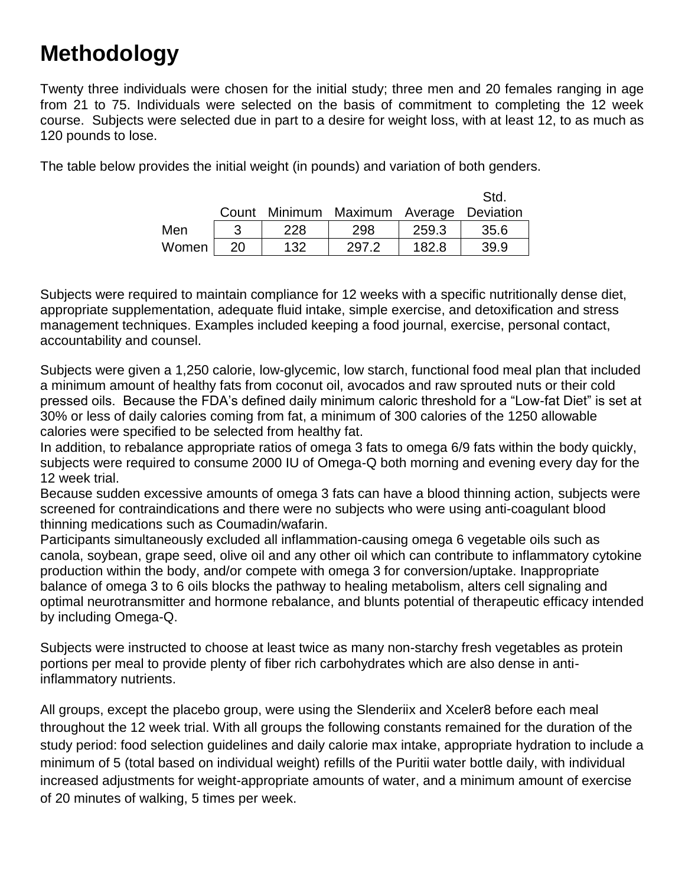# **Methodology**

Twenty three individuals were chosen for the initial study; three men and 20 females ranging in age from 21 to 75. Individuals were selected on the basis of commitment to completing the 12 week course. Subjects were selected due in part to a desire for weight loss, with at least 12, to as much as 120 pounds to lose.

The table below provides the initial weight (in pounds) and variation of both genders.

|       |    |     |                                         |       | Std. |
|-------|----|-----|-----------------------------------------|-------|------|
|       |    |     | Count Minimum Maximum Average Deviation |       |      |
| Men   |    | 228 | 298                                     | 259.3 | 35.6 |
| Women | 20 | 132 | 297.2                                   | 182.8 | 39.9 |

Subjects were required to maintain compliance for 12 weeks with a specific nutritionally dense diet, appropriate supplementation, adequate fluid intake, simple exercise, and detoxification and stress management techniques. Examples included keeping a food journal, exercise, personal contact, accountability and counsel.

Subjects were given a 1,250 calorie, low-glycemic, low starch, functional food meal plan that included a minimum amount of healthy fats from coconut oil, avocados and raw sprouted nuts or their cold pressed oils. Because the FDA's defined daily minimum caloric threshold for a "Low-fat Diet" is set at 30% or less of daily calories coming from fat, a minimum of 300 calories of the 1250 allowable calories were specified to be selected from healthy fat.

In addition, to rebalance appropriate ratios of omega 3 fats to omega 6/9 fats within the body quickly, subjects were required to consume 2000 IU of Omega-Q both morning and evening every day for the 12 week trial.

Because sudden excessive amounts of omega 3 fats can have a blood thinning action, subjects were screened for contraindications and there were no subjects who were using anti-coagulant blood thinning medications such as Coumadin/wafarin.

Participants simultaneously excluded all inflammation-causing omega 6 vegetable oils such as canola, soybean, grape seed, olive oil and any other oil which can contribute to inflammatory cytokine production within the body, and/or compete with omega 3 for conversion/uptake. Inappropriate balance of omega 3 to 6 oils blocks the pathway to healing metabolism, alters cell signaling and optimal neurotransmitter and hormone rebalance, and blunts potential of therapeutic efficacy intended by including Omega-Q.

Subjects were instructed to choose at least twice as many non-starchy fresh vegetables as protein portions per meal to provide plenty of fiber rich carbohydrates which are also dense in antiinflammatory nutrients.

All groups, except the placebo group, were using the Slenderiix and Xceler8 before each meal throughout the 12 week trial. With all groups the following constants remained for the duration of the study period: food selection guidelines and daily calorie max intake, appropriate hydration to include a minimum of 5 (total based on individual weight) refills of the Puritii water bottle daily, with individual increased adjustments for weight-appropriate amounts of water, and a minimum amount of exercise of 20 minutes of walking, 5 times per week.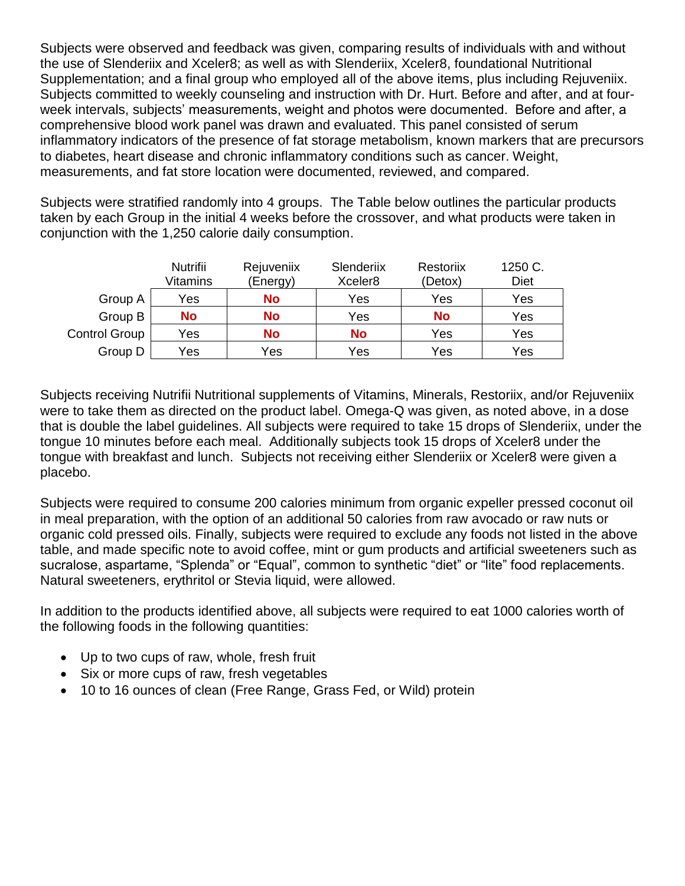Subjects were observed and feedback was given, comparing results of individuals with and without the use of Slenderiix and Xceler8; as well as with Slenderiix, Xceler8, foundational Nutritional Supplementation; and a final group who employed all of the above items, plus including Rejuveniix. Subjects committed to weekly counseling and instruction with Dr. Hurt. Before and after, and at fourweek intervals, subjects' measurements, weight and photos were documented. Before and after, a comprehensive blood work panel was drawn and evaluated. This panel consisted of serum inflammatory indicators of the presence of fat storage metabolism, known markers that are precursors to diabetes, heart disease and chronic inflammatory conditions such as cancer. Weight, measurements, and fat store location were documented, reviewed, and compared.

Subjects were stratified randomly into 4 groups. The Table below outlines the particular products taken by each Group in the initial 4 weeks before the crossover, and what products were taken in conjunction with the 1,250 calorie daily consumption.

|                      | Nutrifii<br>Vitamins | Rejuveniix<br>(Energy) | Slenderiix<br>Xceler <sub>8</sub> | Restoriix<br>(Detox) | 1250 C.<br><b>Diet</b> |
|----------------------|----------------------|------------------------|-----------------------------------|----------------------|------------------------|
|                      |                      |                        |                                   |                      |                        |
| Group A              | Yes                  | <b>No</b>              | Yes                               | Yes                  | Yes                    |
| Group B              | <b>No</b>            | <b>No</b>              | Yes                               | <b>No</b>            | Yes                    |
| <b>Control Group</b> | Yes                  | <b>No</b>              | <b>No</b>                         | Yes                  | Yes                    |
| Group D              | Yes                  | Yes                    | Yes                               | Yes                  | Yes                    |

Subjects receiving Nutrifii Nutritional supplements of Vitamins, Minerals, Restoriix, and/or Rejuveniix were to take them as directed on the product label. Omega-Q was given, as noted above, in a dose that is double the label guidelines. All subjects were required to take 15 drops of Slenderiix, under the tongue 10 minutes before each meal. Additionally subjects took 15 drops of Xceler8 under the tongue with breakfast and lunch. Subjects not receiving either Slenderiix or Xceler8 were given a placebo.

Subjects were required to consume 200 calories minimum from organic expeller pressed coconut oil in meal preparation, with the option of an additional 50 calories from raw avocado or raw nuts or organic cold pressed oils. Finally, subjects were required to exclude any foods not listed in the above table, and made specific note to avoid coffee, mint or gum products and artificial sweeteners such as sucralose, aspartame, "Splenda" or "Equal", common to synthetic "diet" or "lite" food replacements. Natural sweeteners, erythritol or Stevia liquid, were allowed.

In addition to the products identified above, all subjects were required to eat 1000 calories worth of the following foods in the following quantities:

- Up to two cups of raw, whole, fresh fruit
- Six or more cups of raw, fresh vegetables
- 10 to 16 ounces of clean (Free Range, Grass Fed, or Wild) protein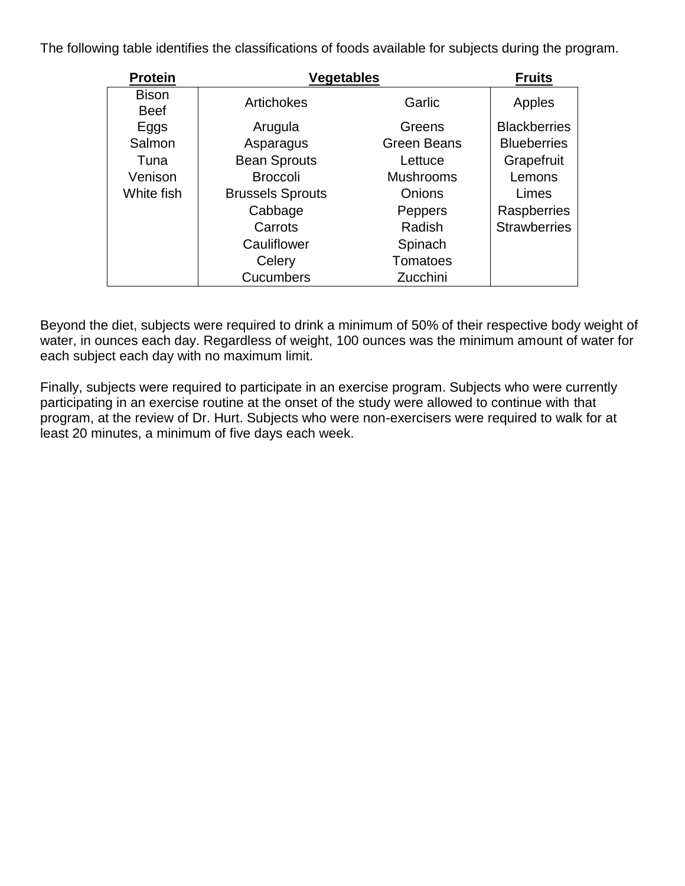The following table identifies the classifications of foods available for subjects during the program.

| <b>Protein</b>              | <b>Vegetables</b>       | <b>Fruits</b>      |                     |
|-----------------------------|-------------------------|--------------------|---------------------|
| <b>Bison</b><br><b>Beef</b> | Artichokes              | Garlic             | Apples              |
| Eggs                        | Arugula                 | Greens             | <b>Blackberries</b> |
| Salmon                      | Asparagus               | <b>Green Beans</b> | <b>Blueberries</b>  |
| Tuna                        | <b>Bean Sprouts</b>     | Lettuce            | Grapefruit          |
| Venison                     | <b>Broccoli</b>         | <b>Mushrooms</b>   | Lemons              |
| White fish                  | <b>Brussels Sprouts</b> | <b>Onions</b>      | Limes               |
|                             | Cabbage                 | Peppers            | Raspberries         |
|                             | Carrots                 | Radish             | <b>Strawberries</b> |
|                             | Cauliflower             | Spinach            |                     |
|                             | Celery                  | <b>Tomatoes</b>    |                     |
|                             | <b>Cucumbers</b>        | Zucchini           |                     |

Beyond the diet, subjects were required to drink a minimum of 50% of their respective body weight of water, in ounces each day. Regardless of weight, 100 ounces was the minimum amount of water for each subject each day with no maximum limit.

Finally, subjects were required to participate in an exercise program. Subjects who were currently participating in an exercise routine at the onset of the study were allowed to continue with that program, at the review of Dr. Hurt. Subjects who were non-exercisers were required to walk for at least 20 minutes, a minimum of five days each week.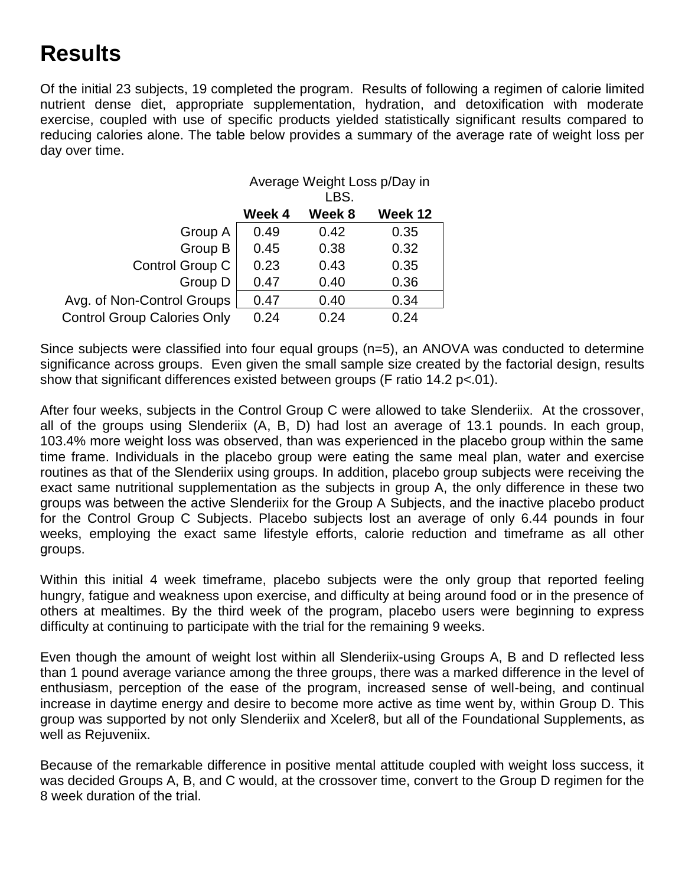## **Results**

Of the initial 23 subjects, 19 completed the program. Results of following a regimen of calorie limited nutrient dense diet, appropriate supplementation, hydration, and detoxification with moderate exercise, coupled with use of specific products yielded statistically significant results compared to reducing calories alone. The table below provides a summary of the average rate of weight loss per day over time.

|                                    | Average Weight Loss p/Day in<br>LBS. |        |         |
|------------------------------------|--------------------------------------|--------|---------|
|                                    | Week 4                               | Week 8 | Week 12 |
| Group A                            | 0.49                                 | 0.42   | 0.35    |
| Group B                            | 0.45                                 | 0.38   | 0.32    |
| Control Group C                    | 0.23                                 | 0.43   | 0.35    |
| Group D                            | 0.47                                 | 0.40   | 0.36    |
| Avg. of Non-Control Groups         | 0.47                                 | 0.40   | 0.34    |
| <b>Control Group Calories Only</b> | 0.24                                 | 0.24   | 0.24    |

Since subjects were classified into four equal groups (n=5), an ANOVA was conducted to determine significance across groups. Even given the small sample size created by the factorial design, results show that significant differences existed between groups (F ratio 14.2 p<.01).

After four weeks, subjects in the Control Group C were allowed to take Slenderiix. At the crossover, all of the groups using Slenderiix (A, B, D) had lost an average of 13.1 pounds. In each group, 103.4% more weight loss was observed, than was experienced in the placebo group within the same time frame. Individuals in the placebo group were eating the same meal plan, water and exercise routines as that of the Slenderiix using groups. In addition, placebo group subjects were receiving the exact same nutritional supplementation as the subjects in group A, the only difference in these two groups was between the active Slenderiix for the Group A Subjects, and the inactive placebo product for the Control Group C Subjects. Placebo subjects lost an average of only 6.44 pounds in four weeks, employing the exact same lifestyle efforts, calorie reduction and timeframe as all other groups.

Within this initial 4 week timeframe, placebo subjects were the only group that reported feeling hungry, fatigue and weakness upon exercise, and difficulty at being around food or in the presence of others at mealtimes. By the third week of the program, placebo users were beginning to express difficulty at continuing to participate with the trial for the remaining 9 weeks.

Even though the amount of weight lost within all Slenderiix-using Groups A, B and D reflected less than 1 pound average variance among the three groups, there was a marked difference in the level of enthusiasm, perception of the ease of the program, increased sense of well-being, and continual increase in daytime energy and desire to become more active as time went by, within Group D. This group was supported by not only Slenderiix and Xceler8, but all of the Foundational Supplements, as well as Rejuveniix.

Because of the remarkable difference in positive mental attitude coupled with weight loss success, it was decided Groups A, B, and C would, at the crossover time, convert to the Group D regimen for the 8 week duration of the trial.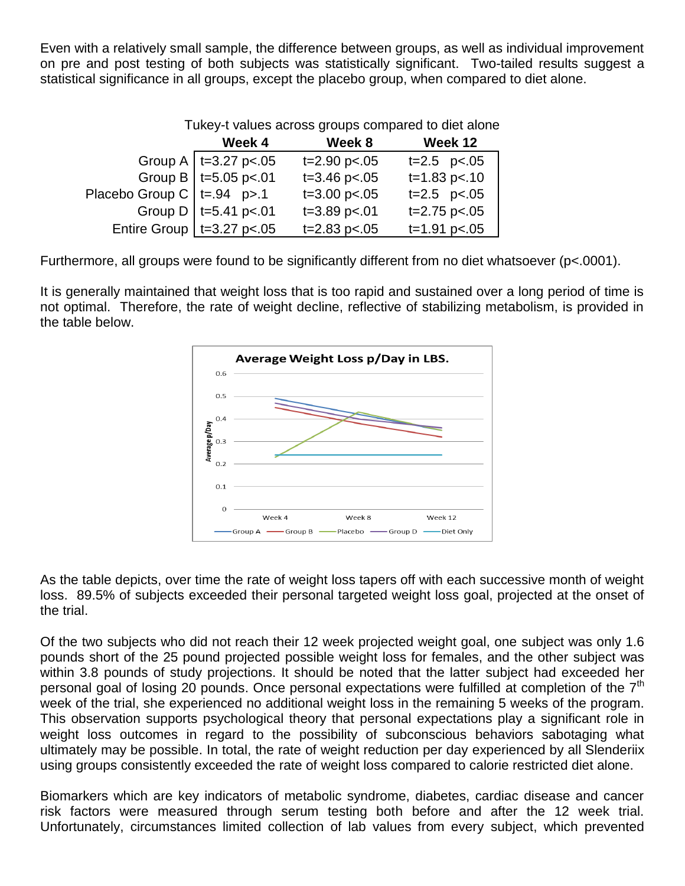Even with a relatively small sample, the difference between groups, as well as individual improvement on pre and post testing of both subjects was statistically significant. Two-tailed results suggest a statistical significance in all groups, except the placebo group, when compared to diet alone.

|                               | Tukey-t values across groups compared to diet alone |                      |                 |  |
|-------------------------------|-----------------------------------------------------|----------------------|-----------------|--|
|                               | Week 4                                              | Week 8               | Week 12         |  |
|                               | Group A   $t=3.27$ p<.05                            | $t = 2.90$ p $< .05$ | $t=2.5$ $p<.05$ |  |
|                               | Group B   $t=5.05$ p<.01                            | $t = 3.46$ p <. 05   | $t=1.83$ p<.10  |  |
| Placebo Group C   t=.94 $p>1$ |                                                     | $t = 3.00$ p $< .05$ | $t=2.5$ $p<.05$ |  |
|                               | Group D   t=5.41 p<.01                              | $t = 3.89$ p<.01     | $t=2.75$ p<.05  |  |
|                               | Entire Group   $t=3.27$ p<.05                       | $t = 2.83$ p<.05     | $t=1.91$ p<.05  |  |

Tukey-t values across groups compared to diet alone

Furthermore, all groups were found to be significantly different from no diet whatsoever (p<.0001).

It is generally maintained that weight loss that is too rapid and sustained over a long period of time is not optimal. Therefore, the rate of weight decline, reflective of stabilizing metabolism, is provided in the table below.



As the table depicts, over time the rate of weight loss tapers off with each successive month of weight loss. 89.5% of subjects exceeded their personal targeted weight loss goal, projected at the onset of the trial.

Of the two subjects who did not reach their 12 week projected weight goal, one subject was only 1.6 pounds short of the 25 pound projected possible weight loss for females, and the other subject was within 3.8 pounds of study projections. It should be noted that the latter subject had exceeded her personal goal of losing 20 pounds. Once personal expectations were fulfilled at completion of the  $7<sup>th</sup>$ week of the trial, she experienced no additional weight loss in the remaining 5 weeks of the program. This observation supports psychological theory that personal expectations play a significant role in weight loss outcomes in regard to the possibility of subconscious behaviors sabotaging what ultimately may be possible. In total, the rate of weight reduction per day experienced by all Slenderiix using groups consistently exceeded the rate of weight loss compared to calorie restricted diet alone.

Biomarkers which are key indicators of metabolic syndrome, diabetes, cardiac disease and cancer risk factors were measured through serum testing both before and after the 12 week trial. Unfortunately, circumstances limited collection of lab values from every subject, which prevented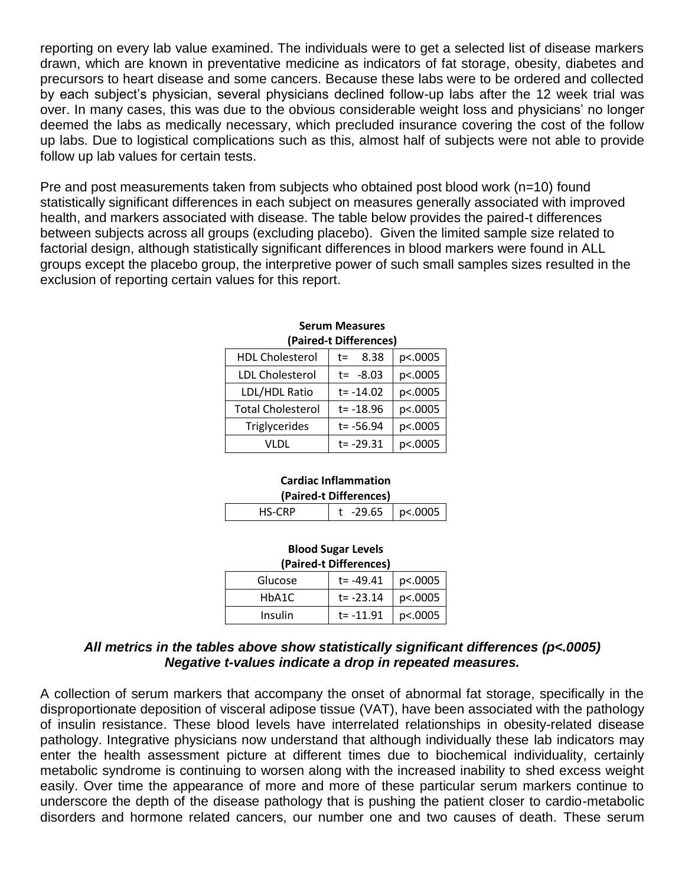reporting on every lab value examined. The individuals were to get a selected list of disease markers drawn, which are known in preventative medicine as indicators of fat storage, obesity, diabetes and precursors to heart disease and some cancers. Because these labs were to be ordered and collected by each subject's physician, several physicians declined follow-up labs after the 12 week trial was over. In many cases, this was due to the obvious considerable weight loss and physicians' no longer deemed the labs as medically necessary, which precluded insurance covering the cost of the follow up labs. Due to logistical complications such as this, almost half of subjects were not able to provide follow up lab values for certain tests.

Pre and post measurements taken from subjects who obtained post blood work (n=10) found statistically significant differences in each subject on measures generally associated with improved health, and markers associated with disease. The table below provides the paired-t differences between subjects across all groups (excluding placebo). Given the limited sample size related to factorial design, although statistically significant differences in blood markers were found in ALL groups except the placebo group, the interpretive power of such small samples sizes resulted in the exclusion of reporting certain values for this report.

|                          | u anca-c bincrences, |         |
|--------------------------|----------------------|---------|
| <b>HDL Cholesterol</b>   | 8.38<br>t=           | p<.0005 |
| <b>LDL Cholesterol</b>   | $t = -8.03$          | p<.0005 |
| LDL/HDL Ratio            | $t = -14.02$         | p<.0005 |
| <b>Total Cholesterol</b> | $t = -18.96$         | p<.0005 |
| Triglycerides            | $t = -56.94$         | p<.0005 |
| VLDL                     | $t = -29.31$         | p<.0005 |

#### **Serum Measures (Paired-t Differences)**

#### **Cardiac Inflammation (Paired-t Differences)**

| $-29.65$   p<.0005 |  |  |  |  |  |
|--------------------|--|--|--|--|--|

#### **Blood Sugar Levels (Paired-t Differences)**

| (Paired-t Differences) |           |         |  |  |
|------------------------|-----------|---------|--|--|
| Glucose                | t= -49.41 | p<.0005 |  |  |
| HbA1C                  | t= -23.14 | p<.0005 |  |  |
| Insulin                | t= -11.91 | p<.0005 |  |  |

#### *All metrics in the tables above show statistically significant differences (p<.0005) Negative t-values indicate a drop in repeated measures.*

A collection of serum markers that accompany the onset of abnormal fat storage, specifically in the disproportionate deposition of visceral adipose tissue (VAT), have been associated with the pathology of insulin resistance. These blood levels have interrelated relationships in obesity-related disease pathology. Integrative physicians now understand that although individually these lab indicators may enter the health assessment picture at different times due to biochemical individuality, certainly metabolic syndrome is continuing to worsen along with the increased inability to shed excess weight easily. Over time the appearance of more and more of these particular serum markers continue to underscore the depth of the disease pathology that is pushing the patient closer to cardio-metabolic disorders and hormone related cancers, our number one and two causes of death. These serum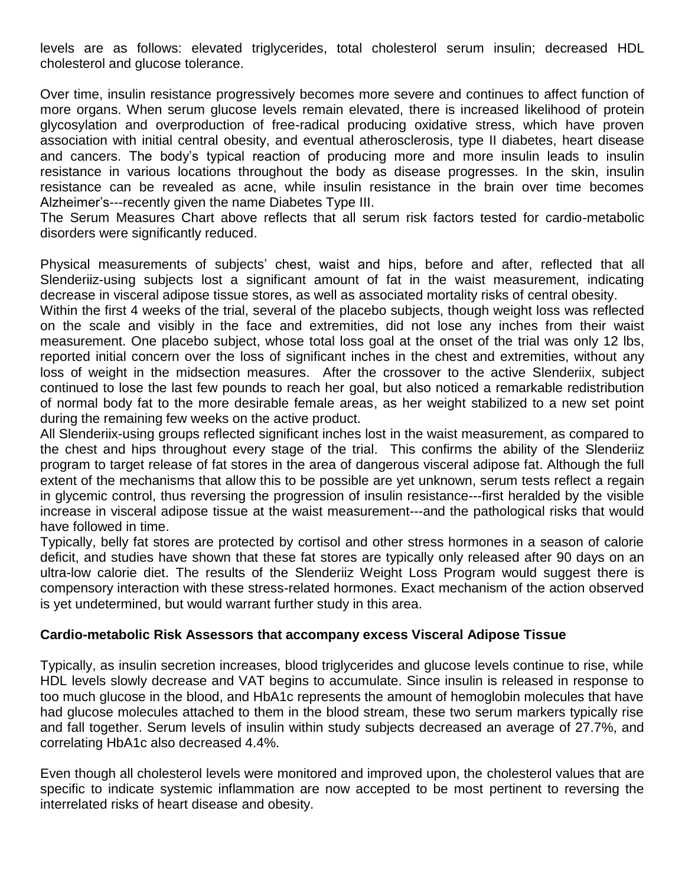levels are as follows: elevated triglycerides, total cholesterol serum insulin; decreased HDL cholesterol and glucose tolerance.

Over time, insulin resistance progressively becomes more severe and continues to affect function of more organs. When serum glucose levels remain elevated, there is increased likelihood of protein glycosylation and overproduction of free-radical producing oxidative stress, which have proven association with initial central obesity, and eventual atherosclerosis, type II diabetes, heart disease and cancers. The body's typical reaction of producing more and more insulin leads to insulin resistance in various locations throughout the body as disease progresses. In the skin, insulin resistance can be revealed as acne, while insulin resistance in the brain over time becomes Alzheimer's---recently given the name Diabetes Type III.

The Serum Measures Chart above reflects that all serum risk factors tested for cardio-metabolic disorders were significantly reduced.

Physical measurements of subjects' chest, waist and hips, before and after, reflected that all Slenderiiz-using subjects lost a significant amount of fat in the waist measurement, indicating decrease in visceral adipose tissue stores, as well as associated mortality risks of central obesity.

Within the first 4 weeks of the trial, several of the placebo subjects, though weight loss was reflected on the scale and visibly in the face and extremities, did not lose any inches from their waist measurement. One placebo subject, whose total loss goal at the onset of the trial was only 12 lbs, reported initial concern over the loss of significant inches in the chest and extremities, without any loss of weight in the midsection measures. After the crossover to the active Slenderiix, subject continued to lose the last few pounds to reach her goal, but also noticed a remarkable redistribution of normal body fat to the more desirable female areas, as her weight stabilized to a new set point during the remaining few weeks on the active product.

All Slenderiix-using groups reflected significant inches lost in the waist measurement, as compared to the chest and hips throughout every stage of the trial. This confirms the ability of the Slenderiiz program to target release of fat stores in the area of dangerous visceral adipose fat. Although the full extent of the mechanisms that allow this to be possible are yet unknown, serum tests reflect a regain in glycemic control, thus reversing the progression of insulin resistance---first heralded by the visible increase in visceral adipose tissue at the waist measurement---and the pathological risks that would have followed in time.

Typically, belly fat stores are protected by cortisol and other stress hormones in a season of calorie deficit, and studies have shown that these fat stores are typically only released after 90 days on an ultra-low calorie diet. The results of the Slenderiiz Weight Loss Program would suggest there is compensory interaction with these stress-related hormones. Exact mechanism of the action observed is yet undetermined, but would warrant further study in this area.

#### **Cardio-metabolic Risk Assessors that accompany excess Visceral Adipose Tissue**

Typically, as insulin secretion increases, blood triglycerides and glucose levels continue to rise, while HDL levels slowly decrease and VAT begins to accumulate. Since insulin is released in response to too much glucose in the blood, and HbA1c represents the amount of hemoglobin molecules that have had glucose molecules attached to them in the blood stream, these two serum markers typically rise and fall together. Serum levels of insulin within study subjects decreased an average of 27.7%, and correlating HbA1c also decreased 4.4%.

Even though all cholesterol levels were monitored and improved upon, the cholesterol values that are specific to indicate systemic inflammation are now accepted to be most pertinent to reversing the interrelated risks of heart disease and obesity.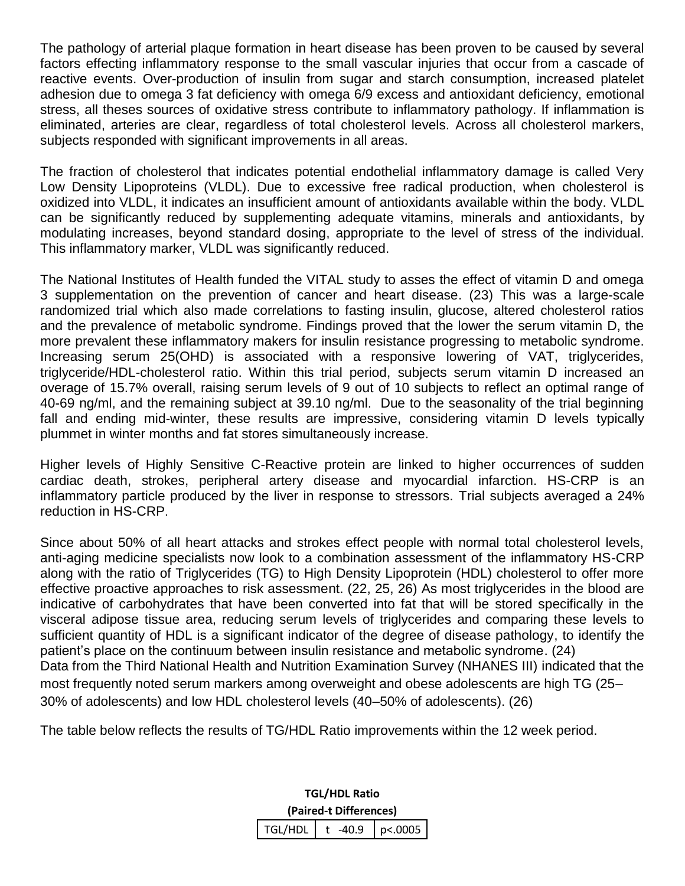The pathology of arterial plaque formation in heart disease has been proven to be caused by several factors effecting inflammatory response to the small vascular injuries that occur from a cascade of reactive events. Over-production of insulin from sugar and starch consumption, increased platelet adhesion due to omega 3 fat deficiency with omega 6/9 excess and antioxidant deficiency, emotional stress, all theses sources of oxidative stress contribute to inflammatory pathology. If inflammation is eliminated, arteries are clear, regardless of total cholesterol levels. Across all cholesterol markers, subjects responded with significant improvements in all areas.

The fraction of cholesterol that indicates potential endothelial inflammatory damage is called Very Low Density Lipoproteins (VLDL). Due to excessive free radical production, when cholesterol is oxidized into VLDL, it indicates an insufficient amount of antioxidants available within the body. VLDL can be significantly reduced by supplementing adequate vitamins, minerals and antioxidants, by modulating increases, beyond standard dosing, appropriate to the level of stress of the individual. This inflammatory marker, VLDL was significantly reduced.

The National Institutes of Health funded the VITAL study to asses the effect of vitamin D and omega 3 supplementation on the prevention of cancer and heart disease. (23) This was a large-scale randomized trial which also made correlations to fasting insulin, glucose, altered cholesterol ratios and the prevalence of metabolic syndrome. Findings proved that the lower the serum vitamin D, the more prevalent these inflammatory makers for insulin resistance progressing to metabolic syndrome. Increasing serum 25(OHD) is associated with a responsive lowering of VAT, triglycerides, triglyceride/HDL-cholesterol ratio. Within this trial period, subjects serum vitamin D increased an overage of 15.7% overall, raising serum levels of 9 out of 10 subjects to reflect an optimal range of 40-69 ng/ml, and the remaining subject at 39.10 ng/ml. Due to the seasonality of the trial beginning fall and ending mid-winter, these results are impressive, considering vitamin D levels typically plummet in winter months and fat stores simultaneously increase.

Higher levels of Highly Sensitive C-Reactive protein are linked to higher occurrences of sudden cardiac death, strokes, peripheral artery disease and myocardial infarction. HS-CRP is an inflammatory particle produced by the liver in response to stressors. Trial subjects averaged a 24% reduction in HS-CRP.

Since about 50% of all heart attacks and strokes effect people with normal total cholesterol levels, anti-aging medicine specialists now look to a combination assessment of the inflammatory HS-CRP along with the ratio of Triglycerides (TG) to High Density Lipoprotein (HDL) cholesterol to offer more effective proactive approaches to risk assessment. (22, 25, 26) As most triglycerides in the blood are indicative of carbohydrates that have been converted into fat that will be stored specifically in the visceral adipose tissue area, reducing serum levels of triglycerides and comparing these levels to sufficient quantity of HDL is a significant indicator of the degree of disease pathology, to identify the patient's place on the continuum between insulin resistance and metabolic syndrome. (24) Data from the Third National Health and Nutrition Examination Survey (NHANES III) indicated that the most frequently noted serum markers among overweight and obese adolescents are high TG (25– 30% of adolescents) and low HDL cholesterol levels (40–50% of adolescents). (26)

The table below reflects the results of TG/HDL Ratio improvements within the 12 week period.

**TGL/HDL Ratio (Paired-t Differences)**  $TGL/HDL$  t -40.9 p<.0005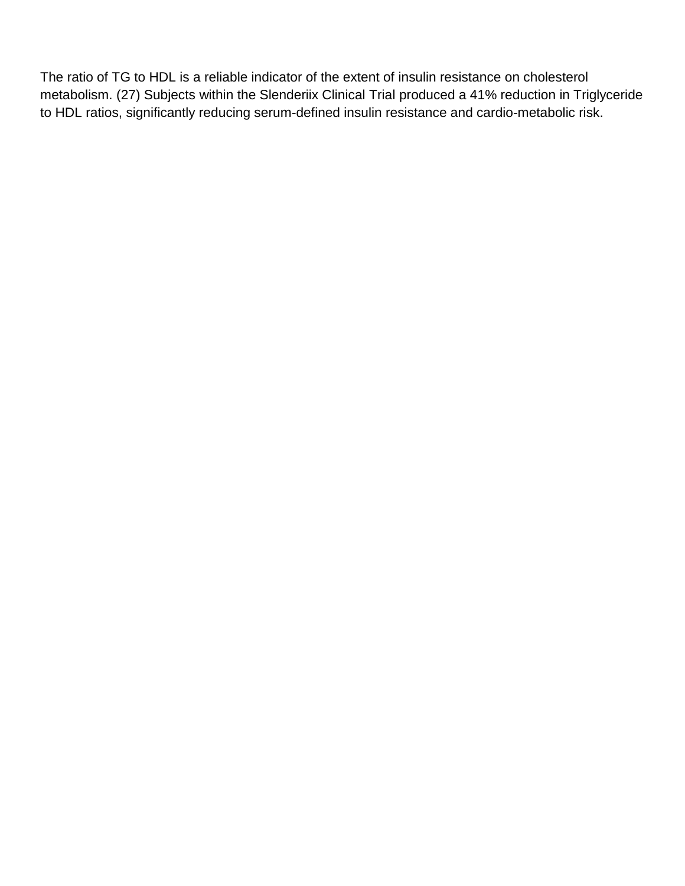The ratio of TG to HDL is a reliable indicator of the extent of insulin resistance on cholesterol metabolism. (27) Subjects within the Slenderiix Clinical Trial produced a 41% reduction in Triglyceride to HDL ratios, significantly reducing serum-defined insulin resistance and cardio-metabolic risk.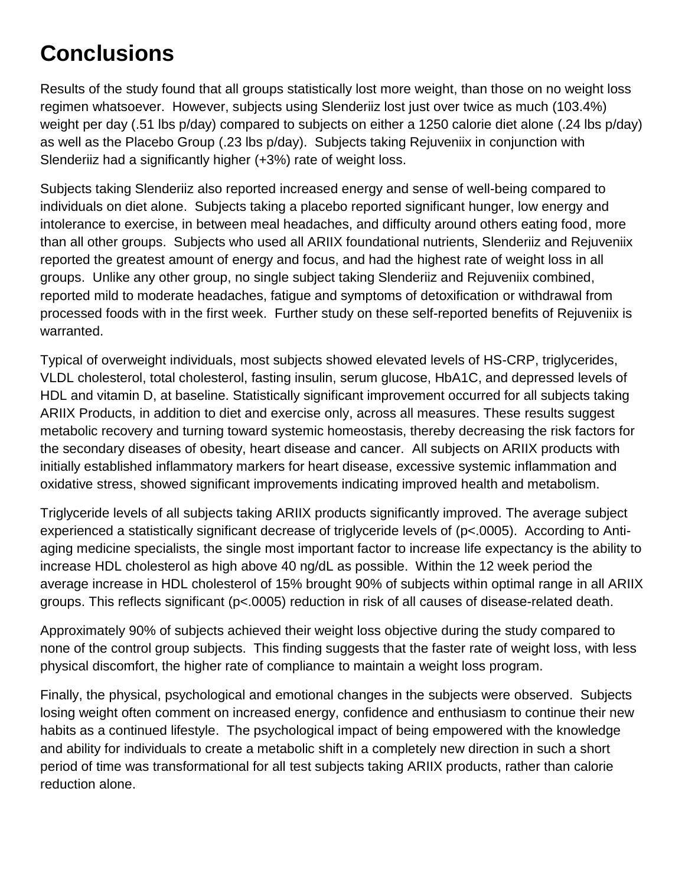# **Conclusions**

Results of the study found that all groups statistically lost more weight, than those on no weight loss regimen whatsoever. However, subjects using Slenderiiz lost just over twice as much (103.4%) weight per day (.51 lbs p/day) compared to subjects on either a 1250 calorie diet alone (.24 lbs p/day) as well as the Placebo Group (.23 lbs p/day). Subjects taking Rejuveniix in conjunction with Slenderiiz had a significantly higher (+3%) rate of weight loss.

Subjects taking Slenderiiz also reported increased energy and sense of well-being compared to individuals on diet alone. Subjects taking a placebo reported significant hunger, low energy and intolerance to exercise, in between meal headaches, and difficulty around others eating food, more than all other groups. Subjects who used all ARIIX foundational nutrients, Slenderiiz and Rejuveniix reported the greatest amount of energy and focus, and had the highest rate of weight loss in all groups. Unlike any other group, no single subject taking Slenderiiz and Rejuveniix combined, reported mild to moderate headaches, fatigue and symptoms of detoxification or withdrawal from processed foods with in the first week. Further study on these self-reported benefits of Rejuveniix is warranted.

Typical of overweight individuals, most subjects showed elevated levels of HS-CRP, triglycerides, VLDL cholesterol, total cholesterol, fasting insulin, serum glucose, HbA1C, and depressed levels of HDL and vitamin D, at baseline. Statistically significant improvement occurred for all subjects taking ARIIX Products, in addition to diet and exercise only, across all measures. These results suggest metabolic recovery and turning toward systemic homeostasis, thereby decreasing the risk factors for the secondary diseases of obesity, heart disease and cancer. All subjects on ARIIX products with initially established inflammatory markers for heart disease, excessive systemic inflammation and oxidative stress, showed significant improvements indicating improved health and metabolism.

Triglyceride levels of all subjects taking ARIIX products significantly improved. The average subject experienced a statistically significant decrease of triglyceride levels of (p<.0005). According to Antiaging medicine specialists, the single most important factor to increase life expectancy is the ability to increase HDL cholesterol as high above 40 ng/dL as possible. Within the 12 week period the average increase in HDL cholesterol of 15% brought 90% of subjects within optimal range in all ARIIX groups. This reflects significant (p<.0005) reduction in risk of all causes of disease-related death.

Approximately 90% of subjects achieved their weight loss objective during the study compared to none of the control group subjects. This finding suggests that the faster rate of weight loss, with less physical discomfort, the higher rate of compliance to maintain a weight loss program.

Finally, the physical, psychological and emotional changes in the subjects were observed. Subjects losing weight often comment on increased energy, confidence and enthusiasm to continue their new habits as a continued lifestyle. The psychological impact of being empowered with the knowledge and ability for individuals to create a metabolic shift in a completely new direction in such a short period of time was transformational for all test subjects taking ARIIX products, rather than calorie reduction alone.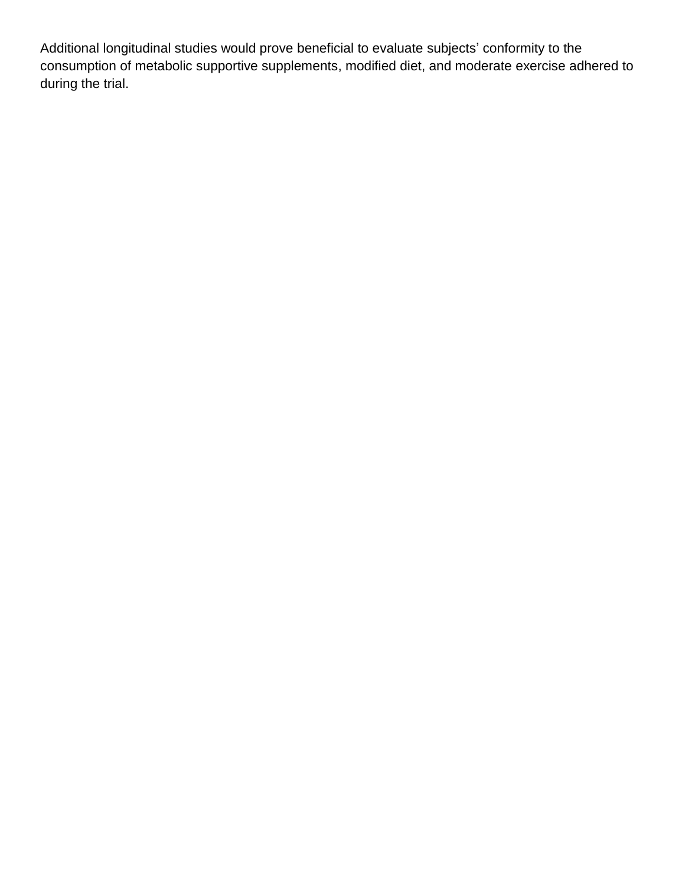Additional longitudinal studies would prove beneficial to evaluate subjects' conformity to the consumption of metabolic supportive supplements, modified diet, and moderate exercise adhered to during the trial.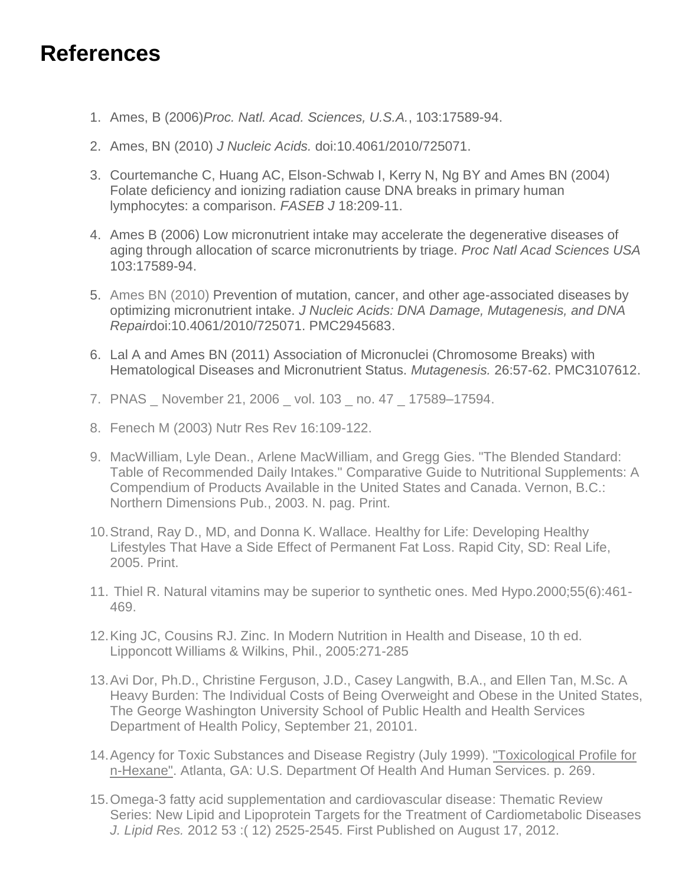## **References**

- 1. Ames, B (2006)*Proc. Natl. Acad. Sciences, U.S.A.*, 103:17589-94.
- 2. Ames, BN (2010) *J Nucleic Acids.* doi:10.4061/2010/725071.
- 3. Courtemanche C, Huang AC, Elson-Schwab I, Kerry N, Ng BY and Ames BN (2004) Folate deficiency and ionizing radiation cause DNA breaks in primary human lymphocytes: a comparison. *FASEB J* 18:209-11.
- 4. Ames B (2006) Low micronutrient intake may accelerate the degenerative diseases of aging through allocation of scarce micronutrients by triage. *Proc Natl Acad Sciences USA* 103:17589-94.
- 5. Ames BN (2010) Prevention of mutation, cancer, and other age-associated diseases by optimizing micronutrient intake. *J Nucleic Acids: DNA Damage, Mutagenesis, and DNA Repair*doi:10.4061/2010/725071. PMC2945683.
- 6. Lal A and Ames BN (2011) Association of Micronuclei (Chromosome Breaks) with Hematological Diseases and Micronutrient Status. *Mutagenesis.* 26:57-62. PMC3107612.
- 7. PNAS \_ November 21, 2006 \_ vol. 103 \_ no. 47 \_ 17589–17594.
- 8. Fenech M (2003) Nutr Res Rev 16:109-122.
- 9. MacWilliam, Lyle Dean., Arlene MacWilliam, and Gregg Gies. "The Blended Standard: Table of Recommended Daily Intakes." Comparative Guide to Nutritional Supplements: A Compendium of Products Available in the United States and Canada. Vernon, B.C.: Northern Dimensions Pub., 2003. N. pag. Print.
- 10.Strand, Ray D., MD, and Donna K. Wallace. Healthy for Life: Developing Healthy Lifestyles That Have a Side Effect of Permanent Fat Loss. Rapid City, SD: Real Life, 2005. Print.
- 11. Thiel R. Natural vitamins may be superior to synthetic ones. Med Hypo.2000;55(6):461- 469.
- 12.King JC, Cousins RJ. Zinc. In Modern Nutrition in Health and Disease, 10 th ed. Lipponcott Williams & Wilkins, Phil., 2005:271-285
- 13.Avi Dor, Ph.D., Christine Ferguson, J.D., Casey Langwith, B.A., and Ellen Tan, M.Sc. A Heavy Burden: The Individual Costs of Being Overweight and Obese in the United States, The George Washington University School of Public Health and Health Services Department of Health Policy, September 21, 20101.
- 14.Agency for Toxic Substances and Disease Registry (July 1999). ["Toxicological Profile for](http://www.atsdr.cdc.gov/toxprofiles/tp113.pdf) [n-Hexane".](http://www.atsdr.cdc.gov/toxprofiles/tp113.pdf) Atlanta, GA: U.S. Department Of Health And Human Services. p. 269.
- 15.Omega-3 fatty acid supplementation and cardiovascular disease: Thematic Review Series: New Lipid and Lipoprotein Targets for the Treatment of Cardiometabolic Diseases *J. Lipid Res.* 2012 53 :( 12) 2525-2545. First Published on August 17, 2012.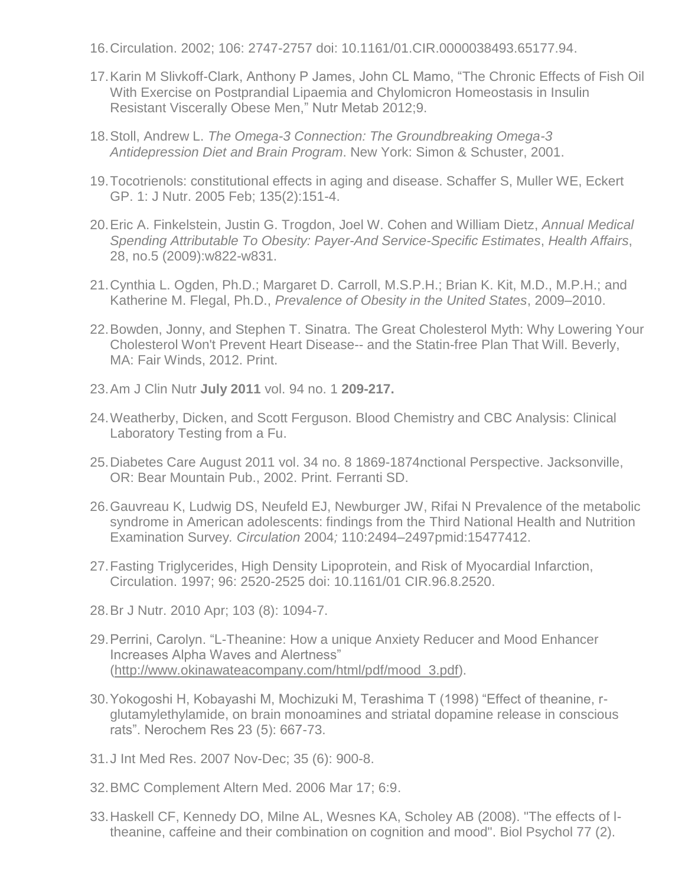- 16.Circulation. 2002; 106: 2747-2757 doi: 10.1161/01.CIR.0000038493.65177.94.
- 17.Karin M Slivkoff-Clark, Anthony P James, John CL Mamo, "The Chronic Effects of Fish Oil With Exercise on Postprandial Lipaemia and Chylomicron Homeostasis in Insulin Resistant Viscerally Obese Men," Nutr Metab 2012;9.
- 18.Stoll, Andrew L. *The Omega-3 Connection: The Groundbreaking Omega-3 Antidepression Diet and Brain Program*. New York: Simon & Schuster, 2001.
- 19.Tocotrienols: constitutional effects in aging and disease. Schaffer S, Muller WE, Eckert GP. 1: J Nutr. 2005 Feb; 135(2):151-4.
- 20.Eric A. Finkelstein, Justin G. Trogdon, Joel W. Cohen and William Dietz, *Annual Medical Spending Attributable To Obesity: Payer-And Service-Specific Estimates*, *Health Affairs*, 28, no.5 (2009):w822-w831.
- 21.Cynthia L. Ogden, Ph.D.; Margaret D. Carroll, M.S.P.H.; Brian K. Kit, M.D., M.P.H.; and Katherine M. Flegal, Ph.D., *Prevalence of Obesity in the United States*, 2009–2010.
- 22.Bowden, Jonny, and Stephen T. Sinatra. The Great Cholesterol Myth: Why Lowering Your Cholesterol Won't Prevent Heart Disease-- and the Statin-free Plan That Will. Beverly, MA: Fair Winds, 2012. Print.
- 23.Am J Clin Nutr **July 2011** vol. 94 no. 1 **209-217.**
- 24.Weatherby, Dicken, and Scott Ferguson. Blood Chemistry and CBC Analysis: Clinical Laboratory Testing from a Fu.
- 25.Diabetes Care August 2011 vol. 34 no. 8 1869-1874nctional Perspective. Jacksonville, OR: Bear Mountain Pub., 2002. Print. Ferranti SD.
- 26.Gauvreau K, Ludwig DS, Neufeld EJ, Newburger JW, Rifai N Prevalence of the metabolic syndrome in American adolescents: findings from the Third National Health and Nutrition Examination Survey*. Circulation* 2004*;* 110:2494*–*2497pmid:15477412.
- 27.Fasting Triglycerides, High Density Lipoprotein, and Risk of Myocardial Infarction, Circulation. 1997; 96: 2520-2525 doi: 10.1161/01 CIR.96.8.2520.
- 28.Br J Nutr. 2010 Apr; 103 (8): 1094-7.
- 29.Perrini, Carolyn. "L-Theanine: How a unique Anxiety Reducer and Mood Enhancer Increases Alpha Waves and Alertness" [\(http://www.okinawateacompany.com/html/pdf/mood\\_3.pdf\)](http://www.okinawateacompany.com/html/pdf/mood_3.pdf).
- 30.Yokogoshi H, Kobayashi M, Mochizuki M, Terashima T (1998) "Effect of theanine, rglutamylethylamide, on brain monoamines and striatal dopamine release in conscious rats". Nerochem Res 23 (5): 667-73.
- 31.J Int Med Res. 2007 Nov-Dec; 35 (6): 900-8.
- 32.BMC Complement Altern Med. 2006 Mar 17; 6:9.
- 33.Haskell CF, Kennedy DO, Milne AL, Wesnes KA, Scholey AB (2008). "The effects of ltheanine, caffeine and their combination on cognition and mood". Biol Psychol 77 (2).